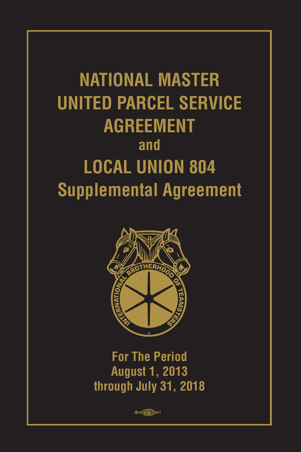# **NATIONAL MASTER UNITED PARCEL SERVICE AGREEMENT and LOCAL UNION 804 Supplemental Agreement**



**For The Period August 1, 2013 through July 31, 2018**

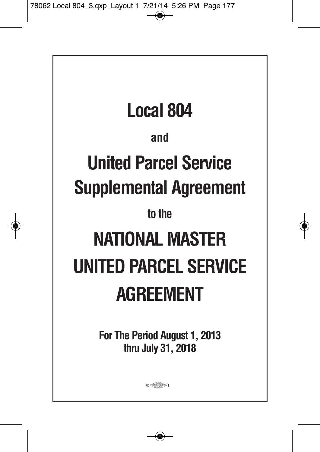| <b>Local 804</b>                                    |
|-----------------------------------------------------|
| and                                                 |
| <b>United Parcel Service</b>                        |
| <b>Supplemental Agreement</b>                       |
| to the                                              |
| NATIONAL MASTER                                     |
| UNITED PARCEL SERVICE                               |
| <b>AGREEMENT</b>                                    |
| For The Period August 1, 2013<br>thru July 31, 2018 |
| $0 \leq t \leq p$                                   |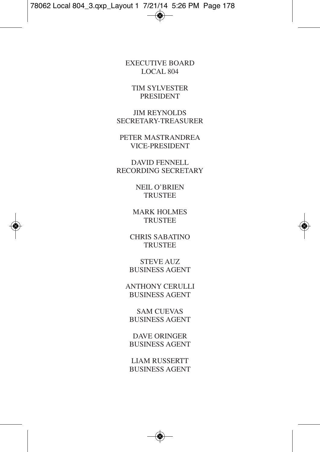EXECUTIVE BOARD LOCAL 804

TIM SYLVESTER PRESIDENT

JIM REYNOLDS SECRETARY-TREASURER

PETER MASTRANDREA VICE-PRESIDENT

DAVID FENNELL RECORDING SECRETARY

> NEIL O'BRIEN **TRUSTEE**

MARK HOLMES **TRUSTEE** 

CHRIS SABATINO **TRUSTEE** 

STEVE AUZ BUSINESS AGENT

ANTHONY CERULLI BUSINESS AGENT

SAM CUEVAS BUSINESS AGENT

DAVE ORINGER BUSINESS AGENT

LIAM RUSSERTT BUSINESS AGENT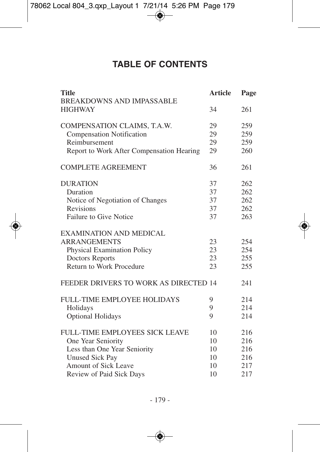# **TABLE OF CONTENTS**

| <b>Title</b><br><b>BREAKDOWNS AND IMPASSABLE</b> | <b>Article</b> | Page |
|--------------------------------------------------|----------------|------|
| <b>HIGHWAY</b>                                   | 34             | 261  |
| COMPENSATION CLAIMS, T.A.W.                      | 29             | 259  |
| Compensation Notification                        | 29             | 259  |
| Reimbursement                                    | 29             | 259  |
| Report to Work After Compensation Hearing        | 29             | 260  |
| <b>COMPLETE AGREEMENT</b>                        | 36             | 261  |
| <b>DURATION</b>                                  | 37             | 262  |
| Duration                                         | 37             | 262  |
| Notice of Negotiation of Changes                 | 37             | 262  |
| <b>Revisions</b>                                 | 37             | 262  |
| Failure to Give Notice                           | 37             | 263  |
| EXAMINATION AND MEDICAL                          |                |      |
| <b>ARRANGEMENTS</b>                              | 23             | 254  |
| <b>Physical Examination Policy</b>               | 23             | 254  |
| Doctors Reports                                  | 23             | 255  |
| Return to Work Procedure                         | 23             | 255  |
| FEEDER DRIVERS TO WORK AS DIRECTED 14            |                | 241  |
| <b>FULL-TIME EMPLOYEE HOLIDAYS</b>               | 9              | 214  |
| Holidays                                         | 9              | 214  |
| <b>Optional Holidays</b>                         | 9              | 214  |
| <b>FULL-TIME EMPLOYEES SICK LEAVE</b>            | 10             | 216  |
| One Year Seniority                               | 10             | 216  |
| Less than One Year Seniority                     | 10             | 216  |
| <b>Unused Sick Pay</b>                           | 10             | 216  |
| <b>Amount of Sick Leave</b>                      | 10             | 217  |
| Review of Paid Sick Days                         | 10             | 217  |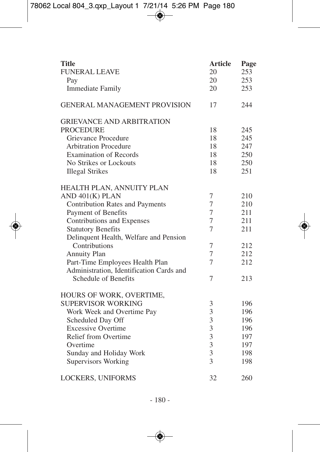| <b>Title</b>                             | <b>Article</b>          | Page |
|------------------------------------------|-------------------------|------|
| <b>FUNERAL LEAVE</b>                     | 20                      | 253  |
| Pay                                      | 20                      | 253  |
| <b>Immediate Family</b>                  | 20                      | 253  |
| <b>GENERAL MANAGEMENT PROVISION</b>      | 17                      | 244  |
| <b>GRIEVANCE AND ARBITRATION</b>         |                         |      |
| <b>PROCEDURE</b>                         | 18                      | 245  |
| Grievance Procedure                      | 18                      | 245  |
| <b>Arbitration Procedure</b>             | 18                      | 247  |
| <b>Examination of Records</b>            | 18                      | 250  |
| No Strikes or Lockouts                   | 18                      | 250  |
| <b>Illegal Strikes</b>                   | 18                      | 251  |
| HEALTH PLAN, ANNUITY PLAN                |                         |      |
| AND 401(K) PLAN                          | 7                       | 210  |
| Contribution Rates and Payments          | $\tau$                  | 210  |
| Payment of Benefits                      | 7                       | 211  |
| Contributions and Expenses               | 7                       | 211  |
| <b>Statutory Benefits</b>                | 7                       | 211  |
| Delinquent Health, Welfare and Pension   |                         |      |
| Contributions                            | 7                       | 212  |
| Annuity Plan                             | 7                       | 212  |
| Part-Time Employees Health Plan          | 7                       | 212  |
| Administration, Identification Cards and |                         |      |
| Schedule of Benefits                     | 7                       | 213  |
| <b>HOURS OF WORK, OVERTIME,</b>          |                         |      |
| SUPERVISOR WORKING                       | 3                       | 196  |
| Work Week and Overtime Pay               | 3                       | 196  |
| Scheduled Day Off                        | $\overline{3}$          | 196  |
| <b>Excessive Overtime</b>                | 3                       | 196  |
| Relief from Overtime                     | 3                       | 197  |
| Overtime                                 | $\overline{\mathbf{3}}$ | 197  |
| Sunday and Holiday Work                  | $\overline{3}$          | 198  |
| <b>Supervisors Working</b>               | 3                       | 198  |
| <b>LOCKERS, UNIFORMS</b>                 | 32                      | 260  |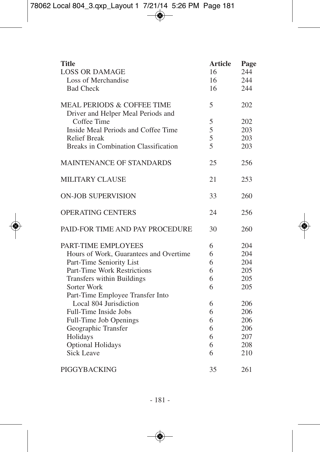| <b>Title</b>                                                                | <b>Article</b> | Page |
|-----------------------------------------------------------------------------|----------------|------|
| <b>LOSS OR DAMAGE</b>                                                       | 16             | 244  |
| Loss of Merchandise                                                         | 16             | 244  |
| <b>Bad Check</b>                                                            | 16             | 244  |
| <b>MEAL PERIODS &amp; COFFEE TIME</b><br>Driver and Helper Meal Periods and | 5              | 202  |
| Coffee Time                                                                 | 5              | 202  |
| Inside Meal Periods and Coffee Time                                         | 5              | 203  |
| <b>Relief Break</b>                                                         | 5              | 203  |
| Breaks in Combination Classification                                        | 5              | 203  |
| <b>MAINTENANCE OF STANDARDS</b>                                             | 25             | 256  |
| <b>MILITARY CLAUSE</b>                                                      | 21             | 253  |
| <b>ON-JOB SUPERVISION</b>                                                   | 33             | 260  |
| <b>OPERATING CENTERS</b>                                                    | 24             | 256  |
| PAID-FOR TIME AND PAY PROCEDURE                                             | 30             | 260  |
| PART-TIME EMPLOYEES                                                         | 6              | 204  |
| Hours of Work, Guarantees and Overtime                                      | 6              | 204  |
| Part-Time Seniority List                                                    | 6              | 204  |
| Part-Time Work Restrictions                                                 | 6              | 205  |
| Transfers within Buildings                                                  | 6              | 205  |
| Sorter Work                                                                 | 6              | 205  |
| Part-Time Employee Transfer Into                                            |                |      |
| Local 804 Jurisdiction                                                      | 6              | 206  |
| Full-Time Inside Jobs                                                       | 6              | 206  |
| Full-Time Job Openings                                                      | 6              | 206  |
| Geographic Transfer                                                         | 6              | 206  |
| Holidays                                                                    | 6              | 207  |
| <b>Optional Holidays</b>                                                    | 6              | 208  |
| <b>Sick Leave</b>                                                           | 6              | 210  |
| PIGGYBACKING                                                                | 35             | 261  |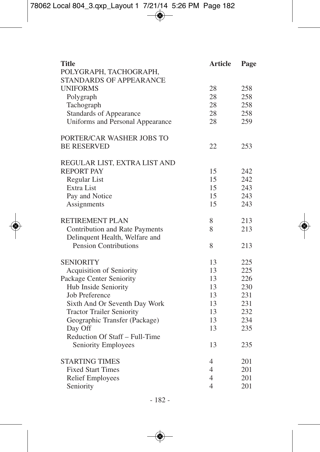| Title                            | <b>Article</b> | Page |
|----------------------------------|----------------|------|
| POLYGRAPH, TACHOGRAPH,           |                |      |
| STANDARDS OF APPEARANCE          |                |      |
| <b>UNIFORMS</b>                  | 28             | 258  |
| Polygraph                        | 28             | 258  |
| Tachograph                       | 28             | 258  |
| Standards of Appearance          | 28             | 258  |
| Uniforms and Personal Appearance | 28             | 259  |
| PORTER/CAR WASHER JOBS TO        |                |      |
| <b>BE RESERVED</b>               | 22             | 253  |
| REGULAR LIST, EXTRA LIST AND     |                |      |
| <b>REPORT PAY</b>                | 15             | 242  |
| Regular List                     | 15             | 242  |
| Extra List                       | 15             | 243  |
| Pay and Notice                   | 15             | 243  |
| Assignments                      | 15             | 243  |
| RETIREMENT PLAN                  | 8              | 213  |
| Contribution and Rate Payments   | 8              | 213  |
| Delinquent Health, Welfare and   |                |      |
| <b>Pension Contributions</b>     | 8              | 213  |
| <b>SENIORITY</b>                 | 13             | 225  |
| Acquisition of Seniority         | 13             | 225  |
| Package Center Seniority         | 13             | 226  |
| Hub Inside Seniority             | 13             | 230  |
| Job Preference                   | 13             | 231  |
| Sixth And Or Seventh Day Work    | 13             | 231  |
| <b>Tractor Trailer Seniority</b> | 13             | 232  |
| Geographic Transfer (Package)    | 13             | 234  |
| Day Off                          | 13             | 235  |
| Reduction Of Staff - Full-Time   |                |      |
| Seniority Employees              | 13             | 235  |
| <b>STARTING TIMES</b>            | 4              | 201  |
| <b>Fixed Start Times</b>         | $\overline{4}$ | 201  |
| Relief Employees                 | $\overline{4}$ | 201  |
| Seniority                        | 4              | 201  |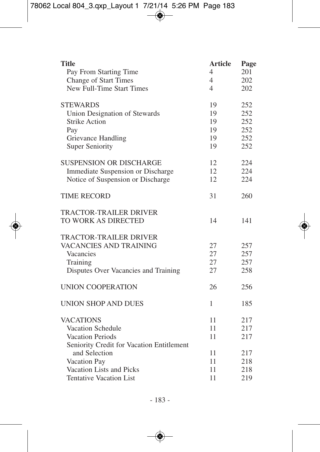| <b>Title</b>                              | <b>Article</b> | Page |
|-------------------------------------------|----------------|------|
| Pay From Starting Time                    | 4              | 201  |
| Change of Start Times                     | 4              | 202  |
| New Full-Time Start Times                 | 4              | 202  |
| <b>STEWARDS</b>                           | 19             | 252  |
| Union Designation of Stewards             | 19             | 252  |
| <b>Strike Action</b>                      | 19             | 252  |
| Pay                                       | 19             | 252  |
| Grievance Handling                        | 19             | 252  |
| <b>Super Seniority</b>                    | 19             | 252  |
| <b>SUSPENSION OR DISCHARGE</b>            | 12             | 224  |
| Immediate Suspension or Discharge         | 12             | 224  |
| Notice of Suspension or Discharge         | 12             | 224  |
| <b>TIME RECORD</b>                        | 31             | 260  |
| <b>TRACTOR-TRAILER DRIVER</b>             |                |      |
| TO WORK AS DIRECTED                       | 14             | 141  |
| <b>TRACTOR-TRAILER DRIVER</b>             |                |      |
| VACANCIES AND TRAINING                    | 27             | 257  |
| Vacancies                                 | 27             | 257  |
| Training                                  | 27             | 257  |
| Disputes Over Vacancies and Training      | 27             | 258  |
| <b>UNION COOPERATION</b>                  | 26             | 256  |
| <b>UNION SHOP AND DUES</b>                | 1              | 185  |
| <b>VACATIONS</b>                          | 11             | 217  |
| Vacation Schedule                         | 11             | 217  |
| Vacation Periods                          | 11             | 217  |
| Seniority Credit for Vacation Entitlement |                |      |
| and Selection                             | 11             | 217  |
| Vacation Pay                              | 11             | 218  |
| Vacation Lists and Picks                  | 11             | 218  |
| <b>Tentative Vacation List</b>            | 11             | 219  |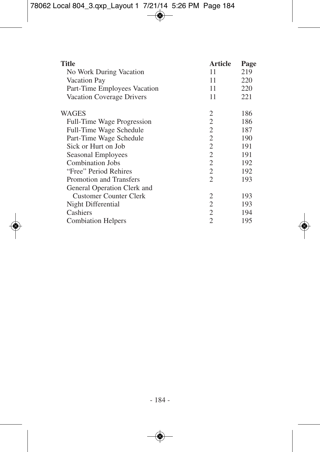| <b>Title</b>                  | <b>Article</b> | Page |
|-------------------------------|----------------|------|
| No Work During Vacation       | 11             | 219  |
| Vacation Pay                  | 11             | 220  |
| Part-Time Employees Vacation  | 11             | 220  |
| Vacation Coverage Drivers     | 11             | 221  |
| WAGES                         | 2              | 186  |
| Full-Time Wage Progression    | 2              | 186  |
| Full-Time Wage Schedule       | 2              | 187  |
| Part-Time Wage Schedule       | 2              | 190  |
| Sick or Hurt on Job           | 2              | 191  |
| Seasonal Employees            | 2              | 191  |
| Combination Jobs              | 2              | 192  |
| "Free" Period Rehires         | 2              | 192  |
| Promotion and Transfers       | 2              | 193  |
| General Operation Clerk and   |                |      |
| <b>Customer Counter Clerk</b> | 2              | 193  |
| Night Differential            | 2              | 193  |
| Cashiers                      | 2              | 194  |
| <b>Combiation Helpers</b>     | $\overline{c}$ | 195  |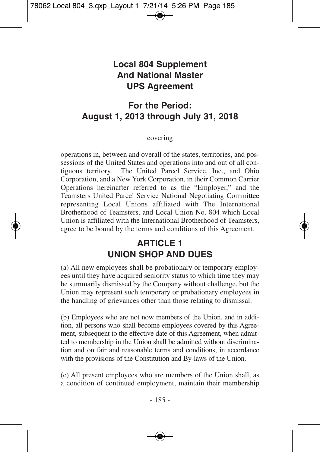## **Local 804 Supplement And National Master UPS Agreement**

# **For the Period: August 1, 2013 through July 31, 2018**

#### covering

operations in, between and overall of the states, territories, and possessions of the United States and operations into and out of all contiguous territory. The United Parcel Service, Inc., and Ohio Corporation, and a New York Corporation, in their Common Carrier Operations hereinafter referred to as the "Employer," and the Teamsters United Parcel Service National Negotiating Committee representing Local Unions affiliated with The International Brotherhood of Teamsters, and Local Union No. 804 which Local Union is affiliated with the International Brotherhood of Teamsters, agree to be bound by the terms and conditions of this Agreement.

# **ARTICLE 1 UNION SHOP AND DUES**

(a) All new employees shall be probationary or temporary employees until they have acquired seniority status to which time they may be summarily dismissed by the Company without challenge, but the Union may represent such temporary or probationary employees in the handling of grievances other than those relating to dismissal.

(b) Employees who are not now members of the Union, and in addition, all persons who shall become employees covered by this Agreement, subsequent to the effective date of this Agreement, when admitted to membership in the Union shall be admitted without discrimination and on fair and reasonable terms and conditions, in accordance with the provisions of the Constitution and By-laws of the Union.

(c) All present employees who are members of the Union shall, as a condition of continued employment, maintain their membership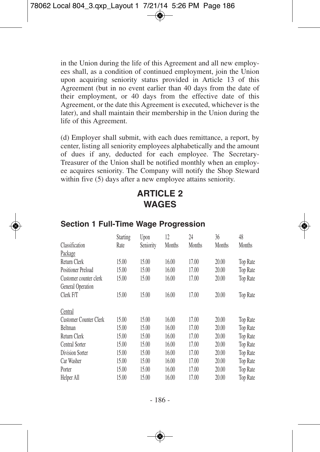in the Union during the life of this Agreement and all new employees shall, as a condition of continued employment, join the Union upon acquiring seniority status provided in Article 13 of this Agreement (but in no event earlier than 40 days from the date of their employment, or 40 days from the effective date of this Agreement, or the date this Agreement is executed, whichever is the later), and shall maintain their membership in the Union during the life of this Agreement.

(d) Employer shall submit, with each dues remittance, a report, by center, listing all seniority employees alphabetically and the amount of dues if any, deducted for each employee. The Secretary-Treasurer of the Union shall be notified monthly when an employee acquires seniority. The Company will notify the Shop Steward within five (5) days after a new employee attains seniority.

## **ARTICLE 2 WAGES**

|                        | <b>Starting</b> | Upon      | 12     | 24     | 36     | 48       |
|------------------------|-----------------|-----------|--------|--------|--------|----------|
| Classification         | Rate            | Seniority | Months | Months | Months | Months   |
| Package                |                 |           |        |        |        |          |
| Return Clerk           | 15.00           | 15.00     | 16.00  | 17.00  | 20.00  | Top Rate |
| Positioner Preload     | 15.00           | 15.00     | 16.00  | 17.00  | 20.00  | Top Rate |
| Customer counter clerk | 15.00           | 15.00     | 16.00  | 17.00  | 20.00  | Top Rate |
| General Operation      |                 |           |        |        |        |          |
| Clerk F/T              | 15.00           | 15.00     | 16.00  | 17.00  | 20.00  | Top Rate |
| Central                |                 |           |        |        |        |          |
| Customer Counter Clerk | 15.00           | 15.00     | 16.00  | 17.00  | 20.00  | Top Rate |
| <b>Beltman</b>         | 15.00           | 15.00     | 16.00  | 17.00  | 20.00  | Top Rate |
| Return Clerk           | 15.00           | 15.00     | 16.00  | 17.00  | 20.00  | Top Rate |
| Central Sorter         | 15.00           | 15.00     | 16.00  | 17.00  | 20.00  | Top Rate |
| Division Sorter        | 15.00           | 15.00     | 16.00  | 17.00  | 20.00  | Top Rate |
| Car Washer             | 15.00           | 15.00     | 16.00  | 17.00  | 20.00  | Top Rate |
| Porter                 | 15.00           | 15.00     | 16.00  | 17.00  | 20.00  | Top Rate |
| Helper All             | 15.00           | 15.00     | 16.00  | 17.00  | 20.00  | Top Rate |

#### **Section 1 Full-Time Wage Progression**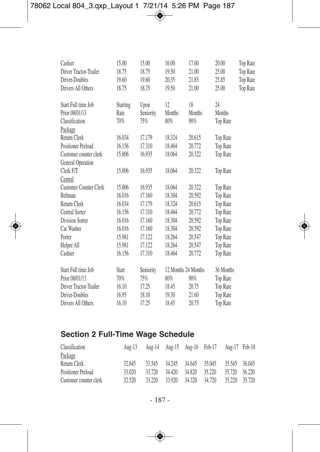| Cashier                   | 15.00           | 15.00     | 16.00  | 17.00               | 20.00           | <b>Top Rate</b> |
|---------------------------|-----------------|-----------|--------|---------------------|-----------------|-----------------|
| Driver Tractor-Trailer    | 18.75           | 18.75     | 19.50  | 21.00               | 25.00           | Top Rate        |
| Driver-Doubles            | 19.60           | 19.60     | 20.35  | 21.85               | 25.85           | Top Rate        |
| Drivers All Others        | 18.75           | 18.75     | 19.50  | 21.00               | 25.00           | <b>Top Rate</b> |
| Start Full time Job       | <b>Starting</b> | Upon      | 12     | 18                  | 24              |                 |
| Prior 08/01/13            | Rate            | Seniority | Months | Months              | Months          |                 |
| Classification            | 70%             | 75%       | 80%    | 90%                 | <b>Top Rate</b> |                 |
| Package                   |                 |           |        |                     |                 |                 |
| Return Clerk              | 16.034          | 17.179    | 18.324 | 20.615              | Top Rate        |                 |
| <b>Positioner Preload</b> | 16.156          | 17.310    | 18.464 | 20.772              | <b>Top Rate</b> |                 |
| Customer counter clerk    | 15.806          | 16.935    | 18.064 | 20.322              | <b>Top Rate</b> |                 |
| General Operation         |                 |           |        |                     |                 |                 |
| Clerk F/T                 | 15.806          | 16.935    | 18.064 | 20.322              | <b>Top Rate</b> |                 |
| Central                   |                 |           |        |                     |                 |                 |
| Customer Counter Clerk    | 15.806          | 16.935    | 18.064 | 20.322              | <b>Top Rate</b> |                 |
| <b>Beltman</b>            | 16.016          | 17.160    | 18.304 | 20.592              | <b>Top Rate</b> |                 |
| Return Clerk              | 16.034          | 17.179    | 18.324 | 20.615              | Top Rate        |                 |
| Central Sorter            | 16.156          | 17.310    | 18.464 | 20.772              | Top Rate        |                 |
| <b>Division Sorter</b>    | 16.016          | 17.160    | 18.304 | 20.592              | Top Rate        |                 |
| Car Washer                | 16.016          | 17.160    | 18.304 | 20.592              | Top Rate        |                 |
| Porter                    | 15.981          | 17.122    | 18.264 | 20.547              | Top Rate        |                 |
| Helper All                | 15.981          | 17.122    | 18.264 | 20.547              | Top Rate        |                 |
| Cashier                   | 16.156          | 17.310    | 18.464 | 20.772              | Top Rate        |                 |
| Start Full time Job       | Start           | Seniority |        | 12 Months 24 Months | 36 Months       |                 |
| Prior 08/01/13            | 70%             | 75%       | 80%    | 90%                 | <b>Top Rate</b> |                 |
| Driver Tractor-Trailer    | 16.10           | 17.25     | 18.45  | 20.75               | Top Rate        |                 |
| Driver-Doubles            | 16.95           | 18.10     | 19.30  | 21.60               | Top Rate        |                 |
| Drivers All Others        | 16.10           | 17.25     | 18.45  | 20.75               | Top Rate        |                 |

# **Section 2 Full-Time Wage Schedule**

| Classification         |        | Aug-13 Aug-14 Aug-15 Aug-16 Feb-17 Aug-17 Feb-18 |                             |        |        |               |        |
|------------------------|--------|--------------------------------------------------|-----------------------------|--------|--------|---------------|--------|
| Package                |        |                                                  |                             |        |        |               |        |
| Return Clerk           | 32.845 |                                                  | 33.545 34.245 34.645 35.045 |        |        | 35.545 36.045 |        |
| Positioner Preload     | 33.020 | 33.720                                           | 34.420                      | 34.820 | 35.220 | 35.720        | 36.220 |
| Customer counter clerk | 32.520 | 33.220                                           | 33.920                      | 34.320 | 34.720 | 35.220        | 35.720 |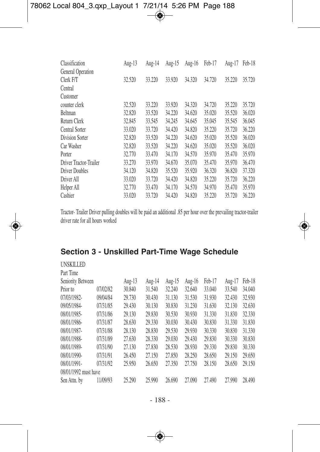| Classification         | Aug-13 | Aug-14 | Aug-15 | Aug-16 | Feb-17 | Aug-17 | Feb-18 |
|------------------------|--------|--------|--------|--------|--------|--------|--------|
| General Operation      |        |        |        |        |        |        |        |
| Clerk F/T              | 32.520 | 33.220 | 33.920 | 34.320 | 34.720 | 35.220 | 35.720 |
| Central                |        |        |        |        |        |        |        |
| Customer               |        |        |        |        |        |        |        |
| counter clerk          | 32.520 | 33.220 | 33.920 | 34.320 | 34.720 | 35.220 | 35.720 |
| Beltman                | 32.820 | 33.520 | 34.220 | 34.620 | 35.020 | 35.520 | 36.020 |
| Return Clerk           | 32.845 | 33.545 | 34.245 | 34.645 | 35.045 | 35.545 | 36.045 |
| Central Sorter         | 33.020 | 33.720 | 34.420 | 34.820 | 35.220 | 35.720 | 36.220 |
| Division Sorter        | 32.820 | 33.520 | 34.220 | 34.620 | 35.020 | 35.520 | 36.020 |
| Car Washer             | 32.820 | 33.520 | 34.220 | 34.620 | 35.020 | 35.520 | 36.020 |
| Porter                 | 32.770 | 33.470 | 34.170 | 34.570 | 35.970 | 35.470 | 35.970 |
| Driver Tractor-Trailer | 33.270 | 33.970 | 34.670 | 35.070 | 35.470 | 35.970 | 36.470 |
| Driver Doubles         | 34.120 | 34.820 | 35.520 | 35.920 | 36.320 | 36.820 | 37.320 |
| Driver All             | 33.020 | 33.720 | 34.420 | 34.820 | 35.220 | 35.720 | 36.220 |
| Helper All             | 32.770 | 33.470 | 34.170 | 34.570 | 34.970 | 35.470 | 35.970 |
| Cashier                | 33.020 | 33.720 | 34.420 | 34.820 | 35.220 | 35.720 | 36.220 |

Tractor- Trailer Driver pulling doubles will be paid an additional .85 per hour over the prevailing tractor-trailer driver rate for all hours worked

| <b>UNSKILLED</b><br>Part Time |          |        |        |        |        |        |        |        |
|-------------------------------|----------|--------|--------|--------|--------|--------|--------|--------|
| Seniority Between             |          | Aug-13 | Aug-14 | Aug-15 | Aug-16 | Feb-17 | Aug-17 | Feb-18 |
| Prior to                      | 07/02/82 | 30.840 | 31.540 | 32.240 | 32.640 | 33.040 | 33.540 | 34.040 |
| 07/03/1982-                   | 09/04/84 | 29.730 | 30.430 | 31.130 | 31.530 | 31.930 | 32.430 | 32.930 |
| 09/05/1984-                   | 07/31/85 | 29.430 | 30.130 | 30.830 | 31.230 | 31.630 | 32.130 | 32.630 |
| 08/01/1985-                   | 07/31/86 | 29.130 | 29.830 | 30.530 | 30.930 | 31.330 | 31.830 | 32.330 |
| 08/01/1986-                   | 07/31/87 | 28.630 | 29.330 | 30.030 | 30.430 | 30.830 | 31.330 | 31.830 |
| 08/01/1987-                   | 07/31/88 | 28.130 | 28.830 | 29.530 | 29.930 | 30.330 | 30.830 | 31.330 |
| 08/01/1988-                   | 07/31/89 | 27.630 | 28.330 | 29.030 | 29.430 | 29.830 | 30.330 | 30.830 |
| 08/01/1989-                   | 07/31/90 | 27.130 | 27.830 | 28.530 | 28.930 | 29.330 | 29.830 | 30.330 |
| 08/01/1990-                   | 07/31/91 | 26.450 | 27.150 | 27.850 | 28.250 | 28.650 | 29.150 | 29.650 |
| 08/01/1991-                   | 07/31/92 | 25.950 | 26.650 | 27.350 | 27.750 | 28.150 | 28.650 | 29.150 |
| 08/01/1992 must have          |          |        |        |        |        |        |        |        |
| Sen Attn. by                  | 11/09/93 | 25.290 | 25.990 | 26.690 | 27.090 | 27.490 | 27.990 | 28.490 |

#### **Section 3 - Unskilled Part-Time Wage Schedule**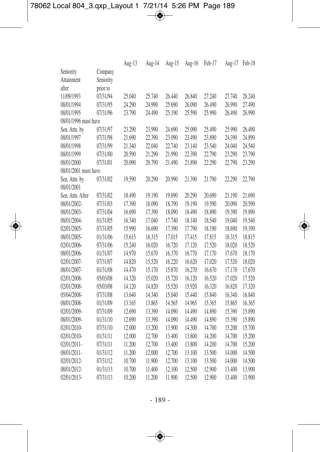|                      |           | Aug-13 | Aug-14 | Aug-15 | Aug-16 | Feb-17 | Aug-17 | Feb-18 |
|----------------------|-----------|--------|--------|--------|--------|--------|--------|--------|
| Seniority            | Company   |        |        |        |        |        |        |        |
| Attainment           | Seniority |        |        |        |        |        |        |        |
| after                | prior to  |        |        |        |        |        |        |        |
| 11/09/1993           | 07/31/94  | 25.040 | 25.740 | 26.440 | 26.840 | 27.240 | 27.740 | 28.240 |
| 08/01/1994           | 07/31/95  | 24.290 | 24.990 | 25.690 | 26.090 | 26.490 | 26.990 | 27.490 |
| 08/01/1995           | 07/31/96  | 23.790 | 24.490 | 25.190 | 25.590 | 25.990 | 26.490 | 26.990 |
| 08/01/1996 must have |           |        |        |        |        |        |        |        |
| Sen. Attn. by        | 07/31/97  | 23.290 | 23.990 | 24.690 | 25.090 | 25.490 | 25.990 | 26.490 |
| 08/01/1997           | 07/31/98  | 21.690 | 22.390 | 23.090 | 23.490 | 23.890 | 24.390 | 24.890 |
| 08/01/1998           | 07/31/99  | 21.340 | 22.040 | 22.740 | 23.140 | 23.540 | 24.040 | 24.540 |
| 08/01/1999           | 07/31/00  | 20.590 | 21.290 | 21.990 | 22.390 | 22.790 | 23.290 | 23.790 |
| 08/01/2000           | 07/31/01  | 20.090 | 20.790 | 21.490 | 21.890 | 22.290 | 22.790 | 23.290 |
| 08/01/2001 must have |           |        |        |        |        |        |        |        |
| Sen. Attn. by        | 07/31/02  | 19.590 | 20.290 | 20.990 | 21.390 | 21.790 | 22.290 | 22.790 |
| 08/01/2001           |           |        |        |        |        |        |        |        |
| Sen. Attn. After     | 07/31/02  | 18.490 | 19.190 | 19.890 | 20.290 | 20.690 | 21.190 | 21.690 |
| 08/01/2002-          | 07/31/03  | 17.390 | 18.090 | 18.790 | 19.190 | 19.590 | 20.090 | 20.590 |
| 08/01/2003-          | 07/31/04  | 16.690 | 17.390 | 18.090 | 18.490 | 18.890 | 19.390 | 19.890 |
| 08/01/2004-          | 01/31/05  | 16.340 | 17.040 | 17.740 | 18.140 | 18.540 | 19.040 | 19.540 |
| 02/01/2005-          | 07/31/05  | 15.990 | 16.690 | 17.390 | 17.790 | 18.190 | 18.690 | 19.190 |
| 08/01/2005-          | 01/31/06  | 15.615 | 16.315 | 17.015 | 17.415 | 17.815 | 18.315 | 18.815 |
| 02/01/2006-          | 07/31/06  | 15.240 | 16.020 | 16.720 | 17.120 | 17.520 | 18.020 | 18.520 |
| 08/01/2006-          | 01/31/07  | 14.970 | 15.670 | 16.370 | 16.770 | 17.170 | 17.670 | 18.170 |
| 02/01/2007-          | 07/31/07  | 14.820 | 15.520 | 16.220 | 16.620 | 17.020 | 17.520 | 18.020 |
| 08/01/2007-          | 01/31/08  | 14.470 | 15.170 | 15.870 | 16.270 | 16.670 | 17.170 | 17.670 |
| 02/01/2008-          | 05/03/08  | 14.320 | 15.020 | 15.720 | 16.120 | 16.520 | 17.020 | 17.520 |
| 02/01/2008-          | 05/03/08  | 14.120 | 14.820 | 15.520 | 15.920 | 16.320 | 16.820 | 17.320 |
| 05/04/2008-          | 07/31/08  | 13.640 | 14.340 | 15.040 | 15.440 | 15.840 | 16.340 | 16.840 |
| 08/01/2008-          | 01/31/09  | 13.165 | 13.865 | 14.565 | 14.965 | 15.365 | 15.865 | 16.365 |
| 02/01/2009-          | 07/31/09  | 12.690 | 13.390 | 14.090 | 14.490 | 14.890 | 15.390 | 15.890 |
| 08/01/2009-          | 01/31/10  | 12.690 | 13.390 | 14.090 | 14.490 | 14.890 | 15.390 | 15.890 |
| 02/01/2010-          | 07/31/10  | 12.000 | 13.200 | 13.900 | 14.300 | 14.700 | 15.200 | 15.700 |
| 02/01/2010-          | 01/31/11  | 12.000 | 12.700 | 13.400 | 13.800 | 14.200 | 14.700 | 15.200 |
| 02/01/2011-          | 07/31/11  | 11.200 | 12.700 | 13.400 | 13.800 | 14.200 | 14.700 | 15.200 |
| 08/01/2011-          | 01/31/12  | 11.200 | 12.000 | 12.700 | 13.100 | 13.500 | 14.000 | 14.500 |
| 02/01/2012-          | 07/31/12  | 10.700 | 11.900 | 12.700 | 13.100 | 13.500 | 14.000 | 14.500 |
| 08/01/2012-          | 01/31/13  | 10.700 | 11.400 | 12.100 | 12.500 | 12.900 | 13.400 | 13.900 |
| 02/01/2013-          | 07/31/13  | 10.200 | 11.200 | 11.900 | 12.500 | 12.900 | 13.400 | 13.900 |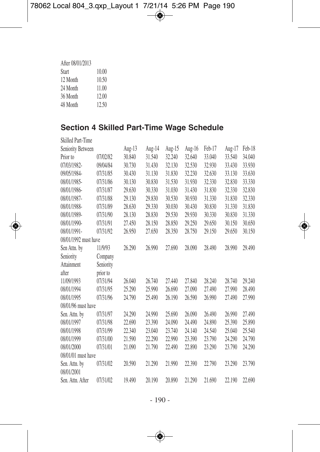| After 08/01/2013 |       |
|------------------|-------|
| Start            | 10.00 |
| 12 Month         | 10.50 |
| 24 Month         | 11.00 |
| 36 Month         | 12.00 |
| 48 Month         | 12.50 |

## **Section 4 Skilled Part-Time Wage Schedule**

| <b>Skilled Part-Time</b> |           |        |        |        |        |        |        |        |
|--------------------------|-----------|--------|--------|--------|--------|--------|--------|--------|
| Seniority Between        |           | Aug-13 | Aug-14 | Aug-15 | Aug-16 | Feb-17 | Aug-17 | Feb-18 |
| Prior to                 | 07/02/82  | 30.840 | 31.540 | 32.240 | 32.640 | 33.040 | 33.540 | 34.040 |
| 07/03/1982-              | 09/04/84  | 30.730 | 31.430 | 32.130 | 32.530 | 32.930 | 33.430 | 33.930 |
| 09/05/1984-              | 07/31/85  | 30.430 | 31.130 | 31.830 | 32.230 | 32.630 | 33.130 | 33.630 |
| 08/01/1985-              | 07/31/86  | 30.130 | 30.830 | 31.530 | 31.930 | 32.330 | 32.830 | 33.330 |
| 08/01/1986-              | 07/31/87  | 29.630 | 30.330 | 31.030 | 31.430 | 31.830 | 32.330 | 32.830 |
| 08/01/1987-              | 07/31/88  | 29.130 | 29.830 | 30.530 | 30.930 | 31.330 | 31.830 | 32.330 |
| 08/01/1988-              | 07/31/89  | 28.630 | 29.330 | 30.030 | 30.430 | 30.830 | 31.330 | 31.830 |
| 08/01/1989-              | 07/31/90  | 28.130 | 28.830 | 29.530 | 29.930 | 30.330 | 30.830 | 31.330 |
| 08/01/1990-              | 07/31/91  | 27.450 | 28.150 | 28.850 | 29.250 | 29.650 | 30.150 | 30.650 |
| 08/01/1991-              | 07/31/92  | 26.950 | 27.650 | 28.350 | 28.750 | 29.150 | 29.650 | 30.150 |
| 08/01/1992 must have     |           |        |        |        |        |        |        |        |
| Sen Attn. by             | 11/9/93   | 26.290 | 26.990 | 27.690 | 28.090 | 28.490 | 28.990 | 29.490 |
| Seniority                | Company   |        |        |        |        |        |        |        |
| Attainment               | Seniority |        |        |        |        |        |        |        |
| after                    | prior to  |        |        |        |        |        |        |        |
| 11/09/1993               | 07/31/94  | 26.040 | 26.740 | 27.440 | 27.840 | 28.240 | 28.740 | 29.240 |
| 08/01/1994               | 07/31/95  | 25.290 | 25.990 | 26.690 | 27.090 | 27.490 | 27.990 | 28.490 |
| 08/01/1995               | 07/31/96  | 24.790 | 25.490 | 26.190 | 26.590 | 26.990 | 27.490 | 27.990 |
| 08/01/96 must have       |           |        |        |        |        |        |        |        |
| Sen. Attn. by            | 07/31/97  | 24.290 | 24.990 | 25.690 | 26.090 | 26.490 | 26.990 | 27.490 |
| 08/01/1997               | 07/31/98  | 22.690 | 23.390 | 24.090 | 24.490 | 24.890 | 25.390 | 25.890 |
| 08/01/1998               | 07/31/99  | 22.340 | 23.040 | 23.740 | 24.140 | 24.540 | 25.040 | 25.540 |
| 08/01/1999               | 07/31/00  | 21.590 | 22.290 | 22.990 | 23.390 | 23.790 | 24.290 | 24.790 |
| 08/01/2000               | 07/31/01  | 21.090 | 21.790 | 22.490 | 22.890 | 23.290 | 23.790 | 24.290 |
| 08/01/01 must have       |           |        |        |        |        |        |        |        |
| Sen. Attn. by            | 07/31/02  | 20.590 | 21.290 | 21.990 | 22.390 | 22.790 | 23.290 | 23.790 |
| 08/01/2001               |           |        |        |        |        |        |        |        |
| Sen. Attn. After         | 07/31/02  | 19.490 | 20.190 | 20.890 | 21.290 | 21.690 | 22.190 | 22.690 |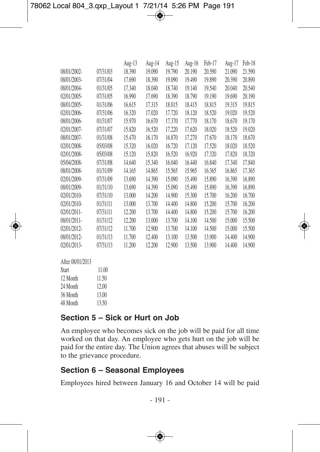|          | Aug-13 | Aug-14 | Aug-15 | Aug-16 | Feb-17 | Aug-17 | Feb-18 |
|----------|--------|--------|--------|--------|--------|--------|--------|
| 07/31/03 | 18.390 | 19.090 | 19.790 | 20.190 | 20.590 | 21.090 | 21.590 |
| 07/31/04 | 17.690 | 18.390 | 19.090 | 19.490 | 19.890 | 20.390 | 20.890 |
| 01/31/05 | 17.340 | 18.040 | 18.740 | 19.140 | 19.540 | 20.040 | 20.540 |
| 07/31/05 | 16.990 | 17.690 | 18.390 | 18.790 | 19.190 | 19.690 | 20.190 |
| 01/31/06 | 16.615 | 17.315 | 18.015 | 18.415 | 18.815 | 19.315 | 19.815 |
| 07/31/06 | 16.320 | 17.020 | 17.720 | 18.120 | 18.520 | 19.020 | 19.520 |
| 01/31/07 | 15.970 | 16.670 | 17.370 | 17.770 | 18.170 | 18.670 | 19.170 |
| 07/31/07 | 15.820 | 16.520 | 17.220 | 17.620 | 18.020 | 18.520 | 19.020 |
| 01/31/08 | 15.470 | 16.170 | 16.870 | 17.270 | 17.670 | 18.170 | 18.670 |
| 05/03/08 | 15.320 | 16.020 | 16.720 | 17.120 | 17.520 | 18.020 | 18.520 |
| 05/03/08 | 15.120 | 15.820 | 16.520 | 16.920 | 17.320 | 17.820 | 18.320 |
| 07/31/08 | 14.640 | 15.340 | 16.040 | 16.440 | 16.840 | 17.340 | 17.840 |
| 01/31/09 | 14.165 | 14.865 | 15.565 | 15.965 | 16.365 | 16.865 | 17.365 |
| 07/31/09 | 13.690 | 14.390 | 15.090 | 15.490 | 15.890 | 16.390 | 16.890 |
| 01/31/10 | 13.690 | 14.390 | 15.090 | 15.490 | 15.890 | 16.390 | 16.890 |
| 07/31/10 | 13.000 | 14.200 | 14.900 | 15.300 | 15.700 | 16.200 | 16.700 |
| 01/31/11 | 13.000 | 13.700 | 14.400 | 14.800 | 15.200 | 15.700 | 16.200 |
| 07/31/11 | 12.200 | 13.700 | 14.400 | 14.800 | 15.200 | 15.700 | 16.200 |
| 01/31/12 | 12.200 | 13.000 | 13.700 | 14.100 | 14.500 | 15.000 | 15.500 |
| 07/31/12 | 11.700 | 12.900 | 13.700 | 14.100 | 14.500 | 15.000 | 15.500 |
| 01/31/13 | 11.700 | 12.400 | 13.100 | 13.500 | 13.900 | 14.400 | 14.900 |
| 07/31/13 | 11.200 | 12.200 | 12.900 | 13.500 | 13.900 | 14.400 | 14.900 |
|          |        |        |        |        |        |        |        |
|          |        |        |        |        |        |        |        |

| AITEI U8/U1/2013 |       |
|------------------|-------|
| Start            | 11.00 |
| 12 Month         | 1150  |
| 24 Month         | 12.00 |
| 36 Month         | 13.00 |
| 48 Month         | 13.50 |

#### **Section 5 – Sick or Hurt on Job**

An employee who becomes sick on the job will be paid for all time worked on that day. An employee who gets hurt on the job will be paid for the entire day. The Union agrees that abuses will be subject to the grievance procedure.

#### **Section 6 – Seasonal Employees**

Employees hired between January 16 and October 14 will be paid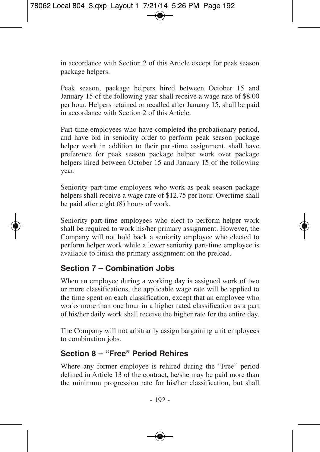in accordance with Section 2 of this Article except for peak season package helpers.

Peak season, package helpers hired between October 15 and January 15 of the following year shall receive a wage rate of \$8.00 per hour. Helpers retained or recalled after January 15, shall be paid in accordance with Section 2 of this Article.

Part-time employees who have completed the probationary period, and have bid in seniority order to perform peak season package helper work in addition to their part-time assignment, shall have preference for peak season package helper work over package helpers hired between October 15 and January 15 of the following year.

Seniority part-time employees who work as peak season package helpers shall receive a wage rate of \$12.75 per hour. Overtime shall be paid after eight (8) hours of work.

Seniority part-time employees who elect to perform helper work shall be required to work his/her primary assignment. However, the Company will not hold back a seniority employee who elected to perform helper work while a lower seniority part-time employee is available to finish the primary assignment on the preload.

#### **Section 7 – Combination Jobs**

When an employee during a working day is assigned work of two or more classifications, the applicable wage rate will be applied to the time spent on each classification, except that an employee who works more than one hour in a higher rated classification as a part of his/her daily work shall receive the higher rate for the entire day.

The Company will not arbitrarily assign bargaining unit employees to combination jobs.

#### **Section 8 – "Free" Period Rehires**

Where any former employee is rehired during the "Free" period defined in Article 13 of the contract, he/she may be paid more than the minimum progression rate for his/her classification, but shall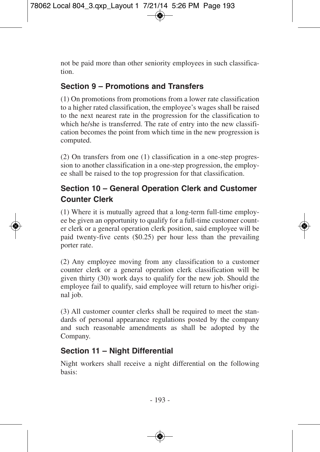not be paid more than other seniority employees in such classification.

## **Section 9 – Promotions and Transfers**

(1) On promotions from promotions from a lower rate classification to a higher rated classification, the employee's wages shall be raised to the next nearest rate in the progression for the classification to which he/she is transferred. The rate of entry into the new classification becomes the point from which time in the new progression is computed.

(2) On transfers from one (1) classification in a one-step progression to another classification in a one-step progression, the employee shall be raised to the top progression for that classification.

## **Section 10 – General Operation Clerk and Customer Counter Clerk**

(1) Where it is mutually agreed that a long-term full-time employee be given an opportunity to qualify for a full-time customer counter clerk or a general operation clerk position, said employee will be paid twenty-five cents (\$0.25) per hour less than the prevailing porter rate.

(2) Any employee moving from any classification to a customer counter clerk or a general operation clerk classification will be given thirty (30) work days to qualify for the new job. Should the employee fail to qualify, said employee will return to his/her original job.

(3) All customer counter clerks shall be required to meet the standards of personal appearance regulations posted by the company and such reasonable amendments as shall be adopted by the Company.

## **Section 11 – Night Differential**

Night workers shall receive a night differential on the following basis: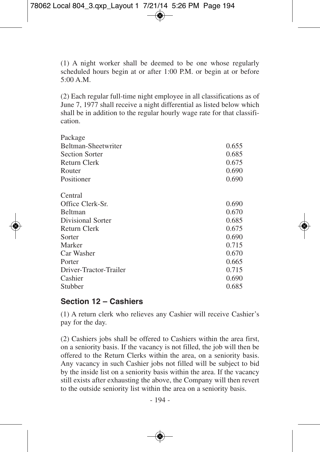(1) A night worker shall be deemed to be one whose regularly scheduled hours begin at or after 1:00 P.M. or begin at or before  $5:00 \text{ A} \text{ M}$ 

(2) Each regular full-time night employee in all classifications as of June 7, 1977 shall receive a night differential as listed below which shall be in addition to the regular hourly wage rate for that classification.

| Package                |       |
|------------------------|-------|
| Beltman-Sheetwriter    | 0.655 |
| <b>Section Sorter</b>  | 0.685 |
| Return Clerk           | 0.675 |
| Router                 | 0.690 |
| Positioner             | 0.690 |
| Central                |       |
| Office Clerk-Sr.       | 0.690 |
| <b>Beltman</b>         | 0.670 |
| Divisional Sorter      | 0.685 |
| <b>Return Clerk</b>    | 0.675 |
| Sorter                 | 0.690 |
| Marker                 | 0.715 |
| Car Washer             | 0.670 |
| Porter                 | 0.665 |
| Driver-Tractor-Trailer | 0.715 |
| Cashier                | 0.690 |
| Stubber                | 0.685 |
|                        |       |

#### **Section 12 – Cashiers**

(1) A return clerk who relieves any Cashier will receive Cashier's pay for the day.

(2) Cashiers jobs shall be offered to Cashiers within the area first, on a seniority basis. If the vacancy is not filled, the job will then be offered to the Return Clerks within the area, on a seniority basis. Any vacancy in such Cashier jobs not filled will be subject to bid by the inside list on a seniority basis within the area. If the vacancy still exists after exhausting the above, the Company will then revert to the outside seniority list within the area on a seniority basis.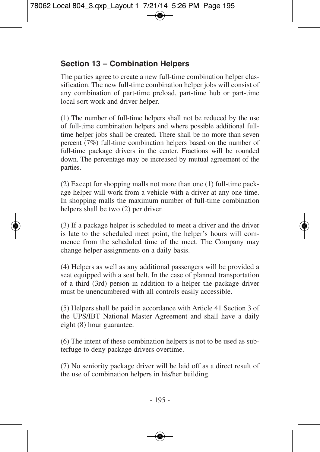## **Section 13 – Combination Helpers**

The parties agree to create a new full-time combination helper classification. The new full-time combination helper jobs will consist of any combination of part-time preload, part-time hub or part-time local sort work and driver helper.

(1) The number of full-time helpers shall not be reduced by the use of full-time combination helpers and where possible additional fulltime helper jobs shall be created. There shall be no more than seven percent (7%) full-time combination helpers based on the number of full-time package drivers in the center. Fractions will be rounded down. The percentage may be increased by mutual agreement of the parties.

(2) Except for shopping malls not more than one (1) full-time package helper will work from a vehicle with a driver at any one time. In shopping malls the maximum number of full-time combination helpers shall be two (2) per driver.

(3) If a package helper is scheduled to meet a driver and the driver is late to the scheduled meet point, the helper's hours will commence from the scheduled time of the meet. The Company may change helper assignments on a daily basis.

(4) Helpers as well as any additional passengers will be provided a seat equipped with a seat belt. In the case of planned transportation of a third (3rd) person in addition to a helper the package driver must be unencumbered with all controls easily accessible.

(5) Helpers shall be paid in accordance with Article 41 Section 3 of the UPS/IBT National Master Agreement and shall have a daily eight (8) hour guarantee.

(6) The intent of these combination helpers is not to be used as subterfuge to deny package drivers overtime.

(7) No seniority package driver will be laid off as a direct result of the use of combination helpers in his/her building.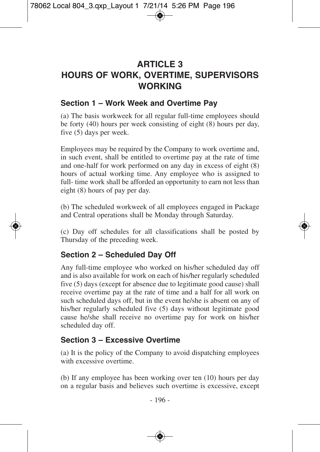# **ARTICLE 3 HOURS OF WORK, OVERTIME, SUPERVISORS WORKING**

#### **Section 1 – Work Week and Overtime Pay**

(a) The basis workweek for all regular full-time employees should be forty (40) hours per week consisting of eight (8) hours per day, five (5) days per week.

Employees may be required by the Company to work overtime and, in such event, shall be entitled to overtime pay at the rate of time and one-half for work performed on any day in excess of eight (8) hours of actual working time. Any employee who is assigned to full- time work shall be afforded an opportunity to earn not less than eight (8) hours of pay per day.

(b) The scheduled workweek of all employees engaged in Package and Central operations shall be Monday through Saturday.

(c) Day off schedules for all classifications shall be posted by Thursday of the preceding week.

#### **Section 2 – Scheduled Day Off**

Any full-time employee who worked on his/her scheduled day off and is also available for work on each of his/her regularly scheduled five (5) days (except for absence due to legitimate good cause) shall receive overtime pay at the rate of time and a half for all work on such scheduled days off, but in the event he/she is absent on any of his/her regularly scheduled five (5) days without legitimate good cause he/she shall receive no overtime pay for work on his/her scheduled day off.

#### **Section 3 – Excessive Overtime**

(a) It is the policy of the Company to avoid dispatching employees with excessive overtime.

(b) If any employee has been working over ten (10) hours per day on a regular basis and believes such overtime is excessive, except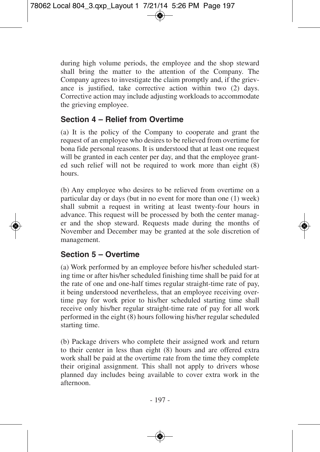during high volume periods, the employee and the shop steward shall bring the matter to the attention of the Company. The Company agrees to investigate the claim promptly and, if the grievance is justified, take corrective action within two (2) days. Corrective action may include adjusting workloads to accommodate the grieving employee.

#### **Section 4 – Relief from Overtime**

(a) It is the policy of the Company to cooperate and grant the request of an employee who desires to be relieved from overtime for bona fide personal reasons. It is understood that at least one request will be granted in each center per day, and that the employee granted such relief will not be required to work more than eight (8) hours.

(b) Any employee who desires to be relieved from overtime on a particular day or days (but in no event for more than one (1) week) shall submit a request in writing at least twenty-four hours in advance. This request will be processed by both the center manager and the shop steward. Requests made during the months of November and December may be granted at the sole discretion of management.

#### **Section 5 – Overtime**

(a) Work performed by an employee before his/her scheduled starting time or after his/her scheduled finishing time shall be paid for at the rate of one and one-half times regular straight-time rate of pay, it being understood nevertheless, that an employee receiving overtime pay for work prior to his/her scheduled starting time shall receive only his/her regular straight-time rate of pay for all work performed in the eight (8) hours following his/her regular scheduled starting time.

(b) Package drivers who complete their assigned work and return to their center in less than eight (8) hours and are offered extra work shall be paid at the overtime rate from the time they complete their original assignment. This shall not apply to drivers whose planned day includes being available to cover extra work in the afternoon.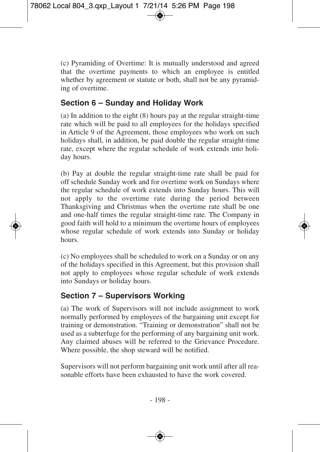(c) Pyramiding of Overtime: It is mutually understood and agreed that the overtime payments to which an employee is entitled whether by agreement or statute or both, shall not be any pyramiding of overtime.

### **Section 6 – Sunday and Holiday Work**

(a) In addition to the eight (8) hours pay at the regular straight-time rate which will be paid to all employees for the holidays specified in Article 9 of the Agreement, those employees who work on such holidays shall, in addition, be paid double the regular straight-time rate, except where the regular schedule of work extends into holiday hours.

(b) Pay at double the regular straight-time rate shall be paid for off schedule Sunday work and for overtime work on Sundays where the regular schedule of work extends into Sunday hours. This will not apply to the overtime rate during the period between Thanksgiving and Christmas when the overtime rate shall be one and one-half times the regular straight-time rate. The Company in good faith will hold to a minimum the overtime hours of employees whose regular schedule of work extends into Sunday or holiday hours.

(c) No employees shall be scheduled to work on a Sunday or on any of the holidays specified in this Agreement, but this provision shall not apply to employees whose regular schedule of work extends into Sundays or holiday hours.

## **Section 7 – Supervisors Working**

(a) The work of Supervisors will not include assignment to work normally performed by employees of the bargaining unit except for training or demonstration. "Training or demonstration" shall not be used as a subterfuge for the performing of any bargaining unit work. Any claimed abuses will be referred to the Grievance Procedure. Where possible, the shop steward will be notified.

Supervisors will not perform bargaining unit work until after all reasonable efforts have been exhausted to have the work covered.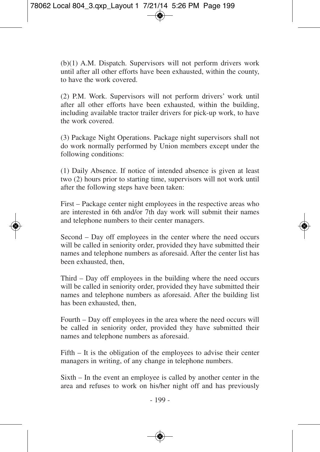(b)(1) A.M. Dispatch. Supervisors will not perform drivers work until after all other efforts have been exhausted, within the county, to have the work covered.

(2) P.M. Work. Supervisors will not perform drivers' work until after all other efforts have been exhausted, within the building, including available tractor trailer drivers for pick-up work, to have the work covered.

(3) Package Night Operations. Package night supervisors shall not do work normally performed by Union members except under the following conditions:

(1) Daily Absence. If notice of intended absence is given at least two (2) hours prior to starting time, supervisors will not work until after the following steps have been taken:

First – Package center night employees in the respective areas who are interested in 6th and/or 7th day work will submit their names and telephone numbers to their center managers.

Second – Day off employees in the center where the need occurs will be called in seniority order, provided they have submitted their names and telephone numbers as aforesaid. After the center list has been exhausted, then,

Third – Day off employees in the building where the need occurs will be called in seniority order, provided they have submitted their names and telephone numbers as aforesaid. After the building list has been exhausted, then,

Fourth – Day off employees in the area where the need occurs will be called in seniority order, provided they have submitted their names and telephone numbers as aforesaid.

Fifth – It is the obligation of the employees to advise their center managers in writing, of any change in telephone numbers.

Sixth – In the event an employee is called by another center in the area and refuses to work on his/her night off and has previously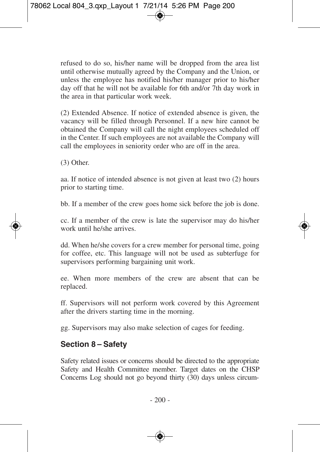refused to do so, his/her name will be dropped from the area list until otherwise mutually agreed by the Company and the Union, or unless the employee has notified his/her manager prior to his/her day off that he will not be available for 6th and/or 7th day work in the area in that particular work week.

(2) Extended Absence. If notice of extended absence is given, the vacancy will be filled through Personnel. If a new hire cannot be obtained the Company will call the night employees scheduled off in the Center. If such employees are not available the Company will call the employees in seniority order who are off in the area.

(3) Other.

aa. If notice of intended absence is not given at least two (2) hours prior to starting time.

bb. If a member of the crew goes home sick before the job is done.

cc. If a member of the crew is late the supervisor may do his/her work until he/she arrives.

dd. When he/she covers for a crew member for personal time, going for coffee, etc. This language will not be used as subterfuge for supervisors performing bargaining unit work.

ee. When more members of the crew are absent that can be replaced.

ff. Supervisors will not perform work covered by this Agreement after the drivers starting time in the morning.

gg. Supervisors may also make selection of cages for feeding.

## **Section 8 – Safety**

Safety related issues or concerns should be directed to the appropriate Safety and Health Committee member. Target dates on the CHSP Concerns Log should not go beyond thirty (30) days unless circum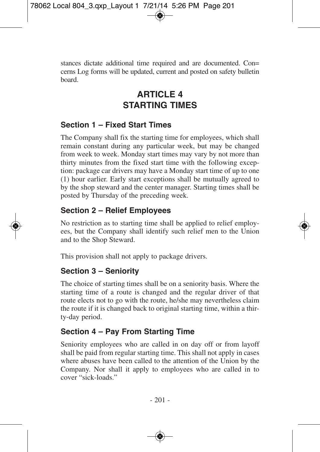stances dictate additional time required and are documented. Con= cerns Log forms will be updated, current and posted on safety bulletin board.

# **ARTICLE 4 STARTING TIMES**

## **Section 1 – Fixed Start Times**

The Company shall fix the starting time for employees, which shall remain constant during any particular week, but may be changed from week to week. Monday start times may vary by not more than thirty minutes from the fixed start time with the following exception: package car drivers may have a Monday start time of up to one (1) hour earlier. Early start exceptions shall be mutually agreed to by the shop steward and the center manager. Starting times shall be posted by Thursday of the preceding week.

## **Section 2 – Relief Employees**

No restriction as to starting time shall be applied to relief employees, but the Company shall identify such relief men to the Union and to the Shop Steward.

This provision shall not apply to package drivers.

## **Section 3 – Seniority**

The choice of starting times shall be on a seniority basis. Where the starting time of a route is changed and the regular driver of that route elects not to go with the route, he/she may nevertheless claim the route if it is changed back to original starting time, within a thirty-day period.

## **Section 4 – Pay From Starting Time**

Seniority employees who are called in on day off or from layoff shall be paid from regular starting time. This shall not apply in cases where abuses have been called to the attention of the Union by the Company. Nor shall it apply to employees who are called in to cover "sick-loads."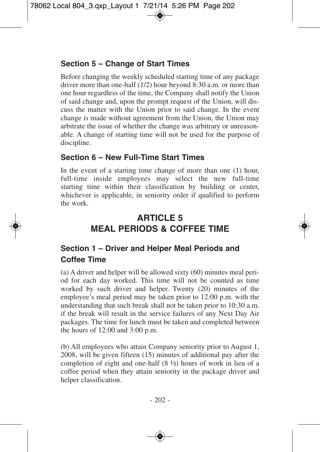## **Section 5 – Change of Start Times**

Before changing the weekly scheduled starting time of any package driver more than one-half (1/2) hour beyond 8:30 a.m. or more than one hour regardless of the time, the Company shall notify the Union of said change and, upon the prompt request of the Union, will discuss the matter with the Union prior to said change. In the event change is made without agreement from the Union, the Union may arbitrate the issue of whether the change was arbitrary or unreasonable. A change of starting time will not be used for the purpose of discipline.

#### **Section 6 – New Full-Time Start Times**

In the event of a starting time change of more than one (1) hour, full-time inside employees may select the new full-time starting time within their classification by building or center, whichever is applicable, in seniority order if qualified to perform the work.

# **ARTICLE 5 MEAL PERIODS & COFFEE TIME**

## **Section 1 – Driver and Helper Meal Periods and Coffee Time**

(a) A driver and helper will be allowed sixty (60) minutes meal period for each day worked. This time will not be counted as time worked by such driver and helper. Twenty (20) minutes of the employee's meal period may be taken prior to 12:00 p.m. with the understanding that such break shall not be taken prior to 10:30 a.m. if the break will result in the service failures of any Next Day Air packages. The time for lunch must be taken and completed between the hours of 12:00 and 3:00 p.m.

(b) All employees who attain Company seniority prior to August 1, 2008, will be given fifteen (15) minutes of additional pay after the completion of eight and one-half (8 ½) hours of work in lieu of a coffee period when they attain seniority in the package driver and helper classification.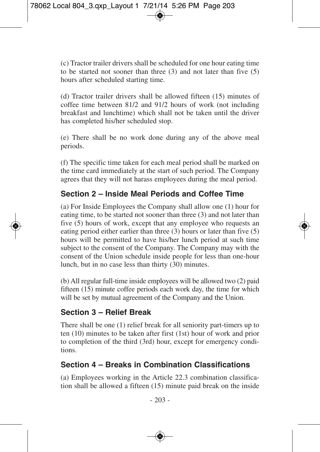(c) Tractor trailer drivers shall be scheduled for one hour eating time to be started not sooner than three (3) and not later than five (5) hours after scheduled starting time.

(d) Tractor trailer drivers shall be allowed fifteen (15) minutes of coffee time between 81/2 and 91/2 hours of work (not including breakfast and lunchtime) which shall not be taken until the driver has completed his/her scheduled stop.

(e) There shall be no work done during any of the above meal periods.

(f) The specific time taken for each meal period shall be marked on the time card immediately at the start of such period. The Company agrees that they will not harass employees during the meal period.

#### **Section 2 – Inside Meal Periods and Coffee Time**

(a) For Inside Employees the Company shall allow one (1) hour for eating time, to be started not sooner than three (3) and not later than five (5) hours of work, except that any employee who requests an eating period either earlier than three (3) hours or later than five (5) hours will be permitted to have his/her lunch period at such time subject to the consent of the Company. The Company may with the consent of the Union schedule inside people for less than one-hour lunch, but in no case less than thirty (30) minutes.

(b) All regular full-time inside employees will be allowed two (2) paid fifteen (15) minute coffee periods each work day, the time for which will be set by mutual agreement of the Company and the Union.

## **Section 3 – Relief Break**

There shall be one (1) relief break for all seniority part-timers up to ten (10) minutes to be taken after first (1st) hour of work and prior to completion of the third (3rd) hour, except for emergency conditions.

## **Section 4 – Breaks in Combination Classifications**

(a) Employees working in the Article 22.3 combination classification shall be allowed a fifteen (15) minute paid break on the inside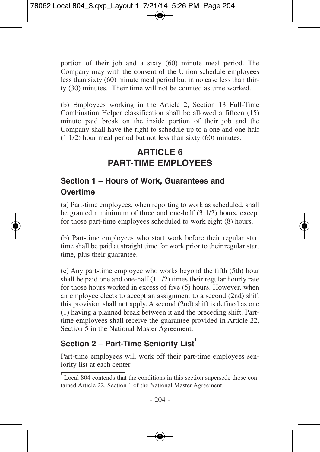portion of their job and a sixty (60) minute meal period. The Company may with the consent of the Union schedule employees less than sixty (60) minute meal period but in no case less than thirty (30) minutes. Their time will not be counted as time worked.

(b) Employees working in the Article 2, Section 13 Full-Time Combination Helper classification shall be allowed a fifteen (15) minute paid break on the inside portion of their job and the Company shall have the right to schedule up to a one and one-half (1 1/2) hour meal period but not less than sixty (60) minutes.

# **ARTICLE 6 PART-TIME EMPLOYEES**

## **Section 1 – Hours of Work, Guarantees and Overtime**

(a) Part-time employees, when reporting to work as scheduled, shall be granted a minimum of three and one-half (3 1/2) hours, except for those part-time employees scheduled to work eight (8) hours.

(b) Part-time employees who start work before their regular start time shall be paid at straight time for work prior to their regular start time, plus their guarantee.

(c) Any part-time employee who works beyond the fifth (5th) hour shall be paid one and one-half (1 1/2) times their regular hourly rate for those hours worked in excess of five (5) hours. However, when an employee elects to accept an assignment to a second (2nd) shift this provision shall not apply. A second (2nd) shift is defined as one (1) having a planned break between it and the preceding shift. Parttime employees shall receive the guarantee provided in Article 22, Section 5 in the National Master Agreement.

## **Section 2 – Part-Time Seniority List 1**

Part-time employees will work off their part-time employees seniority list at each center.

<sup>&</sup>lt;sup>1</sup> Local 804 contends that the conditions in this section supersede those contained Article 22, Section 1 of the National Master Agreement.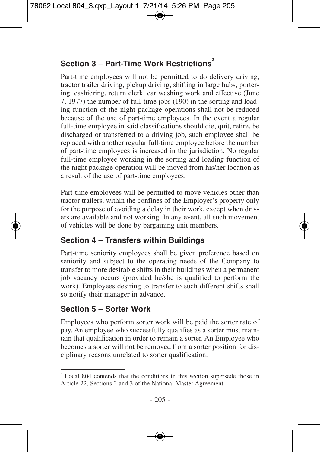## **Section 3 – Part-Time Work Restrictions 2**

Part-time employees will not be permitted to do delivery driving, tractor trailer driving, pickup driving, shifting in large hubs, portering, cashiering, return clerk, car washing work and effective (June 7, 1977) the number of full-time jobs (190) in the sorting and loading function of the night package operations shall not be reduced because of the use of part-time employees. In the event a regular full-time employee in said classifications should die, quit, retire, be discharged or transferred to a driving job, such employee shall be replaced with another regular full-time employee before the number of part-time employees is increased in the jurisdiction. No regular full-time employee working in the sorting and loading function of the night package operation will be moved from his/her location as a result of the use of part-time employees.

Part-time employees will be permitted to move vehicles other than tractor trailers, within the confines of the Employer's property only for the purpose of avoiding a delay in their work, except when drivers are available and not working. In any event, all such movement of vehicles will be done by bargaining unit members.

## **Section 4 – Transfers within Buildings**

Part-time seniority employees shall be given preference based on seniority and subject to the operating needs of the Company to transfer to more desirable shifts in their buildings when a permanent job vacancy occurs (provided he/she is qualified to perform the work). Employees desiring to transfer to such different shifts shall so notify their manager in advance.

#### **Section 5 – Sorter Work**

Employees who perform sorter work will be paid the sorter rate of pay. An employee who successfully qualifies as a sorter must maintain that qualification in order to remain a sorter. An Employee who becomes a sorter will not be removed from a sorter position for disciplinary reasons unrelated to sorter qualification.

Local 804 contends that the conditions in this section supersede those in Article 22, Sections 2 and 3 of the National Master Agreement.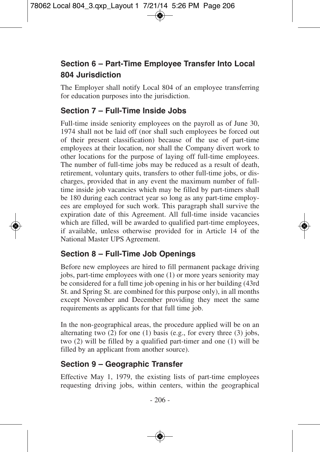## **Section 6 – Part-Time Employee Transfer Into Local 804 Jurisdiction**

The Employer shall notify Local 804 of an employee transferring for education purposes into the jurisdiction.

#### **Section 7 – Full-Time Inside Jobs**

Full-time inside seniority employees on the payroll as of June 30, 1974 shall not be laid off (nor shall such employees be forced out of their present classification) because of the use of part-time employees at their location, nor shall the Company divert work to other locations for the purpose of laying off full-time employees. The number of full-time jobs may be reduced as a result of death, retirement, voluntary quits, transfers to other full-time jobs, or discharges, provided that in any event the maximum number of fulltime inside job vacancies which may be filled by part-timers shall be 180 during each contract year so long as any part-time employees are employed for such work. This paragraph shall survive the expiration date of this Agreement. All full-time inside vacancies which are filled, will be awarded to qualified part-time employees, if available, unless otherwise provided for in Article 14 of the National Master UPS Agreement.

## **Section 8 – Full-Time Job Openings**

Before new employees are hired to fill permanent package driving jobs, part-time employees with one (1) or more years seniority may be considered for a full time job opening in his or her building (43rd St. and Spring St. are combined for this purpose only), in all months except November and December providing they meet the same requirements as applicants for that full time job.

In the non-geographical areas, the procedure applied will be on an alternating two (2) for one (1) basis (e.g., for every three (3) jobs, two (2) will be filled by a qualified part-timer and one (1) will be filled by an applicant from another source).

## **Section 9 – Geographic Transfer**

Effective May 1, 1979, the existing lists of part-time employees requesting driving jobs, within centers, within the geographical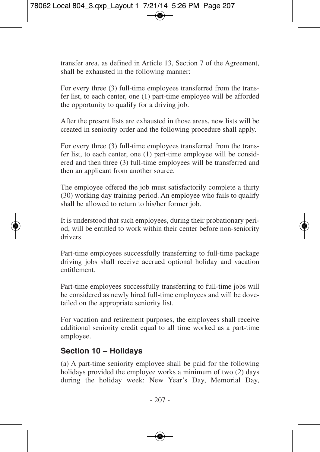transfer area, as defined in Article 13, Section 7 of the Agreement, shall be exhausted in the following manner:

For every three (3) full-time employees transferred from the transfer list, to each center, one (1) part-time employee will be afforded the opportunity to qualify for a driving job.

After the present lists are exhausted in those areas, new lists will be created in seniority order and the following procedure shall apply.

For every three (3) full-time employees transferred from the transfer list, to each center, one (1) part-time employee will be considered and then three (3) full-time employees will be transferred and then an applicant from another source.

The employee offered the job must satisfactorily complete a thirty (30) working day training period. An employee who fails to qualify shall be allowed to return to his/her former job.

It is understood that such employees, during their probationary period, will be entitled to work within their center before non-seniority drivers.

Part-time employees successfully transferring to full-time package driving jobs shall receive accrued optional holiday and vacation entitlement.

Part-time employees successfully transferring to full-time jobs will be considered as newly hired full-time employees and will be dovetailed on the appropriate seniority list.

For vacation and retirement purposes, the employees shall receive additional seniority credit equal to all time worked as a part-time employee.

#### **Section 10 – Holidays**

(a) A part-time seniority employee shall be paid for the following holidays provided the employee works a minimum of two (2) days during the holiday week: New Year's Day, Memorial Day,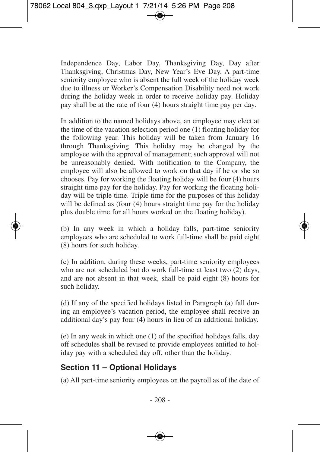Independence Day, Labor Day, Thanksgiving Day, Day after Thanksgiving, Christmas Day, New Year's Eve Day. A part-time seniority employee who is absent the full week of the holiday week due to illness or Worker's Compensation Disability need not work during the holiday week in order to receive holiday pay. Holiday pay shall be at the rate of four (4) hours straight time pay per day.

In addition to the named holidays above, an employee may elect at the time of the vacation selection period one (1) floating holiday for the following year. This holiday will be taken from January 16 through Thanksgiving. This holiday may be changed by the employee with the approval of management; such approval will not be unreasonably denied. With notification to the Company, the employee will also be allowed to work on that day if he or she so chooses. Pay for working the floating holiday will be four (4) hours straight time pay for the holiday. Pay for working the floating holiday will be triple time. Triple time for the purposes of this holiday will be defined as (four  $(4)$ ) hours straight time pay for the holiday plus double time for all hours worked on the floating holiday).

(b) In any week in which a holiday falls, part-time seniority employees who are scheduled to work full-time shall be paid eight (8) hours for such holiday.

(c) In addition, during these weeks, part-time seniority employees who are not scheduled but do work full-time at least two (2) days, and are not absent in that week, shall be paid eight (8) hours for such holiday.

(d) If any of the specified holidays listed in Paragraph (a) fall during an employee's vacation period, the employee shall receive an additional day's pay four (4) hours in lieu of an additional holiday.

(e) In any week in which one (1) of the specified holidays falls, day off schedules shall be revised to provide employees entitled to holiday pay with a scheduled day off, other than the holiday.

#### **Section 11 – Optional Holidays**

(a) All part-time seniority employees on the payroll as of the date of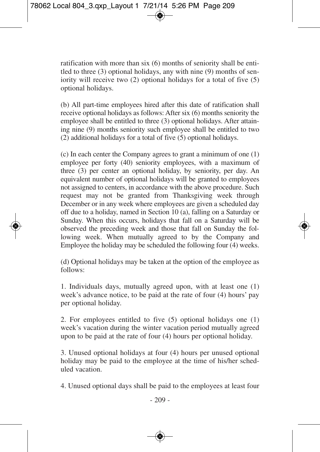ratification with more than six (6) months of seniority shall be entitled to three (3) optional holidays, any with nine (9) months of seniority will receive two (2) optional holidays for a total of five (5) optional holidays.

(b) All part-time employees hired after this date of ratification shall receive optional holidays as follows: After six (6) months seniority the employee shall be entitled to three (3) optional holidays. After attaining nine (9) months seniority such employee shall be entitled to two (2) additional holidays for a total of five (5) optional holidays.

(c) In each center the Company agrees to grant a minimum of one (1) employee per forty (40) seniority employees, with a maximum of three (3) per center an optional holiday, by seniority, per day. An equivalent number of optional holidays will be granted to employees not assigned to centers, in accordance with the above procedure. Such request may not be granted from Thanksgiving week through December or in any week where employees are given a scheduled day off due to a holiday, named in Section 10 (a), falling on a Saturday or Sunday. When this occurs, holidays that fall on a Saturday will be observed the preceding week and those that fall on Sunday the following week. When mutually agreed to by the Company and Employee the holiday may be scheduled the following four (4) weeks.

(d) Optional holidays may be taken at the option of the employee as follows:

1. Individuals days, mutually agreed upon, with at least one (1) week's advance notice, to be paid at the rate of four (4) hours' pay per optional holiday.

2. For employees entitled to five (5) optional holidays one (1) week's vacation during the winter vacation period mutually agreed upon to be paid at the rate of four (4) hours per optional holiday.

3. Unused optional holidays at four (4) hours per unused optional holiday may be paid to the employee at the time of his/her scheduled vacation.

4. Unused optional days shall be paid to the employees at least four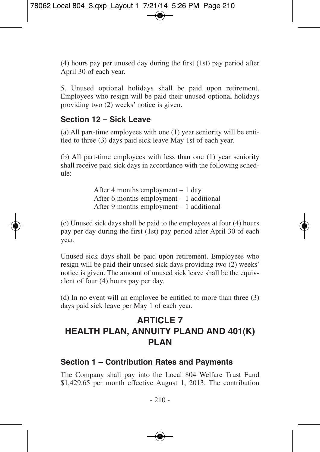(4) hours pay per unused day during the first (1st) pay period after April 30 of each year.

5. Unused optional holidays shall be paid upon retirement. Employees who resign will be paid their unused optional holidays providing two (2) weeks' notice is given.

#### **Section 12 – Sick Leave**

(a) All part-time employees with one (1) year seniority will be entitled to three (3) days paid sick leave May 1st of each year.

(b) All part-time employees with less than one (1) year seniority shall receive paid sick days in accordance with the following schedule:

> After 4 months employment – 1 day After 6 months employment – 1 additional After 9 months employment – 1 additional

(c) Unused sick days shall be paid to the employees at four (4) hours pay per day during the first (1st) pay period after April 30 of each year.

Unused sick days shall be paid upon retirement. Employees who resign will be paid their unused sick days providing two (2) weeks' notice is given. The amount of unused sick leave shall be the equivalent of four (4) hours pay per day.

(d) In no event will an employee be entitled to more than three (3) days paid sick leave per May 1 of each year.

# **ARTICLE 7 HEALTH PLAN, ANNUITY PLAND AND 401(K) PLAN**

#### **Section 1 – Contribution Rates and Payments**

The Company shall pay into the Local 804 Welfare Trust Fund \$1,429.65 per month effective August 1, 2013. The contribution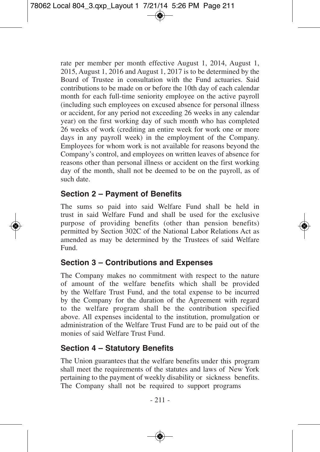rate per member per month effective August 1, 2014, August 1, 2015, August 1, 2016 and August 1, 2017 is to be determined by the Board of Trustee in consultation with the Fund actuaries. Said contributions to be made on or before the 10th day of each calendar month for each full-time seniority employee on the active payroll (including such employees on excused absence for personal illness or accident, for any period not exceeding 26 weeks in any calendar year) on the first working day of such month who has completed 26 weeks of work (crediting an entire week for work one or more days in any payroll week) in the employment of the Company. Employees for whom work is not available for reasons beyond the Company's control, and employees on written leaves of absence for reasons other than personal illness or accident on the first working day of the month, shall not be deemed to be on the payroll, as of such date.

#### **Section 2 – Payment of Benefits**

The sums so paid into said Welfare Fund shall be held in trust in said Welfare Fund and shall be used for the exclusive purpose of providing benefits (other than pension benefits) permitted by Section 302C of the National Labor Relations Act as amended as may be determined by the Trustees of said Welfare Fund.

#### **Section 3 – Contributions and Expenses**

The Company makes no commitment with respect to the nature of amount of the welfare benefits which shall be provided by the Welfare Trust Fund, and the total expense to be incurred by the Company for the duration of the Agreement with regard to the welfare program shall be the contribution specified above. All expenses incidental to the institution, promulgation or administration of the Welfare Trust Fund are to be paid out of the monies of said Welfare Trust Fund.

#### **Section 4 – Statutory Benefits**

The Union guarantees that the welfare benefits under this pro gram shall meet the requirements of the statutes and laws of New York pertaining to the payment of weekly disability or sickness ben efits.The Company shall not be required to support programs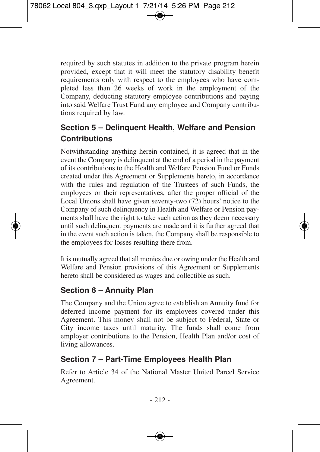required by such statutes in addition to the private program herein provided, except that it will meet the statutory disability benefit requirements only with respect to the employees who have completed less than 26 weeks of work in the employment of the Company, deducting statutory employee contributions and paying into said Welfare Trust Fund any employee and Company contributions required by law.

# **Section 5 – Delinquent Health, Welfare and Pension Contributions**

Notwithstanding anything herein contained, it is agreed that in the event the Company is delinquent at the end of a period in the payment of its contributions to the Health and Welfare Pension Fund or Funds created under this Agreement or Supplements hereto, in accordance with the rules and regulation of the Trustees of such Funds, the employees or their representatives, after the proper official of the Local Unions shall have given seventy-two (72) hours' notice to the Company of such delinquency in Health and Welfare or Pension payments shall have the right to take such action as they deem necessary until such delinquent payments are made and it is further agreed that in the event such action is taken, the Company shall be responsible to the employees for losses resulting there from.

It is mutually agreed that all monies due or owing under the Health and Welfare and Pension provisions of this Agreement or Supplements hereto shall be considered as wages and collectible as such.

# **Section 6 – Annuity Plan**

The Company and the Union agree to establish an Annuity fund for deferred income payment for its employees covered under this Agreement. This money shall not be subject to Federal, State or City income taxes until maturity. The funds shall come from employer contributions to the Pension, Health Plan and/or cost of living allowances.

## **Section 7 – Part-Time Employees Health Plan**

Refer to Article 34 of the National Master United Parcel Service Agreement.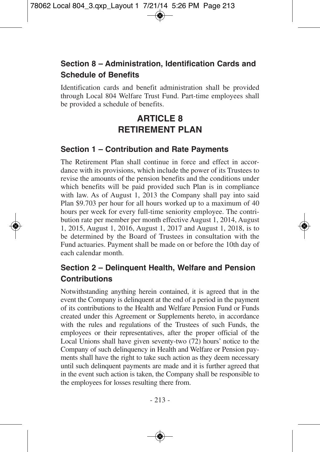# **Section 8 – Administration, Identification Cards and Schedule of Benefits**

Identification cards and benefit administration shall be provided through Local 804 Welfare Trust Fund. Part-time employees shall be provided a schedule of benefits.

# **ARTICLE 8 RETIREMENT PLAN**

#### **Section 1 – Contribution and Rate Payments**

The Retirement Plan shall continue in force and effect in accordance with its provisions, which include the power of its Trustees to revise the amounts of the pension benefits and the conditions under which benefits will be paid provided such Plan is in compliance with law. As of August 1, 2013 the Company shall pay into said Plan \$9.703 per hour for all hours worked up to a maximum of 40 hours per week for every full-time seniority employee. The contribution rate per member per month effective August 1, 2014, August 1, 2015, August 1, 2016, August 1, 2017 and August 1, 2018, is to be determined by the Board of Trustees in consultation with the Fund actuaries. Payment shall be made on or before the 10th day of each calendar month.

## **Section 2 – Delinquent Health, Welfare and Pension Contributions**

Notwithstanding anything herein contained, it is agreed that in the event the Company is delinquent at the end of a period in the payment of its contributions to the Health and Welfare Pension Fund or Funds created under this Agreement or Supplements hereto, in accordance with the rules and regulations of the Trustees of such Funds, the employees or their representatives, after the proper official of the Local Unions shall have given seventy-two (72) hours' notice to the Company of such delinquency in Health and Welfare or Pension payments shall have the right to take such action as they deem necessary until such delinquent payments are made and it is further agreed that in the event such action is taken, the Company shall be responsible to the employees for losses resulting there from.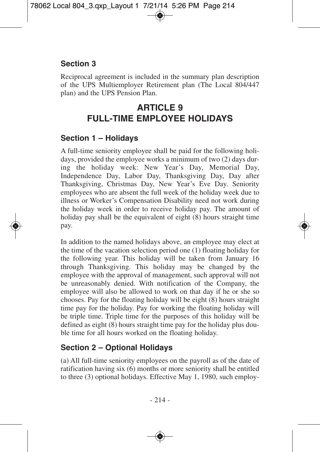## **Section 3**

Reciprocal agreement is included in the summary plan description of the UPS Multiemployer Retirement plan (The Local 804/447 plan) and the UPS Pension Plan.

# **ARTICLE 9 FULL-TIME EMPLOYEE HOLIDAYS**

#### **Section 1 – Holidays**

A full-time seniority employee shall be paid for the following holidays, provided the employee works a minimum of two (2) days during the holiday week: New Year's Day, Memorial Day, Independence Day, Labor Day, Thanksgiving Day, Day after Thanksgiving, Christmas Day, New Year's Eve Day. Seniority employees who are absent the full week of the holiday week due to illness or Worker's Compensation Disability need not work during the holiday week in order to receive holiday pay. The amount of holiday pay shall be the equivalent of eight (8) hours straight time pay.

In addition to the named holidays above, an employee may elect at the time of the vacation selection period one (1) floating holiday for the following year. This holiday will be taken from January 16 through Thanksgiving. This holiday may be changed by the employee with the approval of management, such approval will not be unreasonably denied. With notification of the Company, the employee will also be allowed to work on that day if he or she so chooses. Pay for the floating holiday will be eight (8) hours straight time pay for the holiday. Pay for working the floating holiday will be triple time. Triple time for the purposes of this holiday will be defined as eight (8) hours straight time pay for the holiday plus double time for all hours worked on the floating holiday.

## **Section 2 – Optional Holidays**

(a) All full-time seniority employees on the payroll as of the date of ratification having six (6) months or more seniority shall be entitled to three (3) optional holidays. Effective May 1, 1980, such employ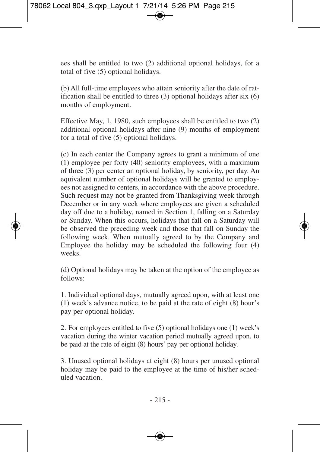ees shall be entitled to two (2) additional optional holidays, for a total of five (5) optional holidays.

(b) All full-time employees who attain seniority after the date of ratification shall be entitled to three (3) optional holidays after six (6) months of employment.

Effective May, 1, 1980, such employees shall be entitled to two (2) additional optional holidays after nine (9) months of employment for a total of five (5) optional holidays.

(c) In each center the Company agrees to grant a minimum of one (1) employee per forty (40) seniority employees, with a maximum of three (3) per center an optional holiday, by seniority, per day. An equivalent number of optional holidays will be granted to employees not assigned to centers, in accordance with the above procedure. Such request may not be granted from Thanksgiving week through December or in any week where employees are given a scheduled day off due to a holiday, named in Section 1, falling on a Saturday or Sunday. When this occurs, holidays that fall on a Saturday will be observed the preceding week and those that fall on Sunday the following week. When mutually agreed to by the Company and Employee the holiday may be scheduled the following four (4) weeks.

(d) Optional holidays may be taken at the option of the employee as follows:

1. Individual optional days, mutually agreed upon, with at least one (1) week's advance notice, to be paid at the rate of eight (8) hour's pay per optional holiday.

2. For employees entitled to five (5) optional holidays one (1) week's vacation during the winter vacation period mutually agreed upon, to be paid at the rate of eight (8) hours' pay per optional holiday.

3. Unused optional holidays at eight (8) hours per unused optional holiday may be paid to the employee at the time of his/her scheduled vacation.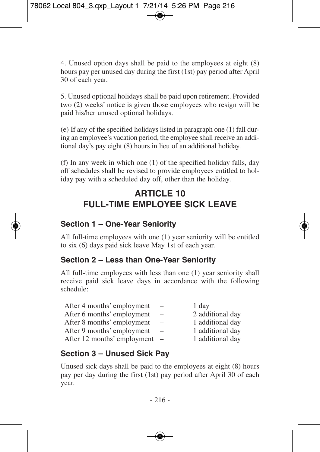4. Unused option days shall be paid to the employees at eight (8) hours pay per unused day during the first (1st) pay period after April 30 of each year.

5. Unused optional holidays shall be paid upon retirement. Provided two (2) weeks' notice is given those employees who resign will be paid his/her unused optional holidays.

(e) If any of the specified holidays listed in paragraph one (1) fall during an employee's vacation period, the employee shall receive an additional day's pay eight (8) hours in lieu of an additional holiday.

(f) In any week in which one (1) of the specified holiday falls, day off schedules shall be revised to provide employees entitled to holiday pay with a scheduled day off, other than the holiday.

# **ARTICLE 10 FULL-TIME EMPLOYEE SICK LEAVE**

# **Section 1 – One-Year Seniority**

All full-time employees with one (1) year seniority will be entitled to six (6) days paid sick leave May 1st of each year.

## **Section 2 – Less than One-Year Seniority**

All full-time employees with less than one (1) year seniority shall receive paid sick leave days in accordance with the following schedule:

| After 4 months' employment  | $\overline{\phantom{a}}$ | 1 day            |
|-----------------------------|--------------------------|------------------|
| After 6 months' employment  | $\overline{\phantom{0}}$ | 2 additional day |
| After 8 months' employment  | $\overline{\phantom{0}}$ | 1 additional day |
| After 9 months' employment  | $\overline{\phantom{0}}$ | 1 additional day |
| After 12 months' employment |                          | 1 additional day |

# **Section 3 – Unused Sick Pay**

Unused sick days shall be paid to the employees at eight (8) hours pay per day during the first (1st) pay period after April 30 of each year.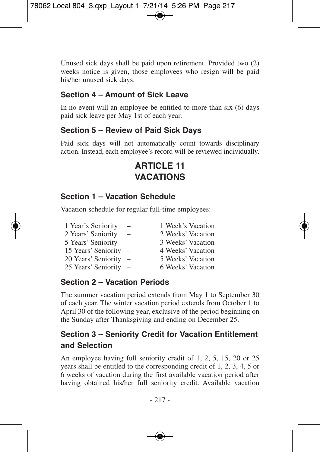Unused sick days shall be paid upon retirement. Provided two (2) weeks notice is given, those employees who resign will be paid his/her unused sick days.

#### **Section 4 – Amount of Sick Leave**

In no event will an employee be entitled to more than six (6) days paid sick leave per May 1st of each year.

### **Section 5 – Review of Paid Sick Days**

Paid sick days will not automatically count towards disciplinary action. Instead, each employee's record will be reviewed individually.

# **ARTICLE 11 VACATIONS**

## **Section 1 – Vacation Schedule**

Vacation schedule for regular full-time employees:

| 1 Year's Seniority  | $\overline{\phantom{0}}$        | 1 Week's Vacation |
|---------------------|---------------------------------|-------------------|
| 2 Years' Seniority  | $\overline{\phantom{m}}$        | 2 Weeks' Vacation |
| 5 Years' Seniority  | $\overline{\phantom{0}}$        | 3 Weeks' Vacation |
| 15 Years' Seniority | $\hspace{0.1mm}-\hspace{0.1mm}$ | 4 Weeks' Vacation |
| 20 Years' Seniority | $\hspace{0.1mm}-\hspace{0.1mm}$ | 5 Weeks' Vacation |
| 25 Years' Seniority | $\hspace{0.1mm}-\hspace{0.1mm}$ | 6 Weeks' Vacation |

## **Section 2 – Vacation Periods**

The summer vacation period extends from May 1 to September 30 of each year. The winter vacation period extends from October 1 to April 30 of the following year, exclusive of the period beginning on the Sunday after Thanksgiving and ending on December 25.

# **Section 3 – Seniority Credit for Vacation Entitlement and Selection**

An employee having full seniority credit of 1, 2, 5, 15, 20 or 25 years shall be entitled to the corresponding credit of 1, 2, 3, 4, 5 or 6 weeks of vacation during the first available vacation period after having obtained his/her full seniority credit. Available vacation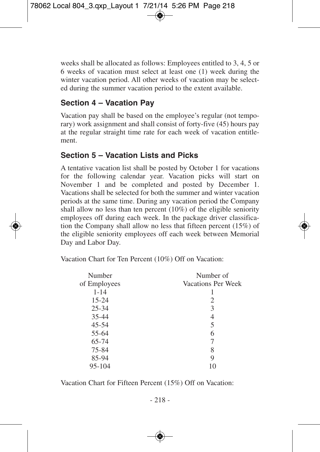weeks shall be allocated as follows: Employees entitled to 3, 4, 5 or 6 weeks of vacation must select at least one (1) week during the winter vacation period. All other weeks of vacation may be selected during the summer vacation period to the extent available.

## **Section 4 – Vacation Pay**

Vacation pay shall be based on the employee's regular (not temporary) work assignment and shall consist of forty-five (45) hours pay at the regular straight time rate for each week of vacation entitlement.

## **Section 5 – Vacation Lists and Picks**

A tentative vacation list shall be posted by October 1 for vacations for the following calendar year. Vacation picks will start on November 1 and be completed and posted by December 1. Vacations shall be selected for both the summer and winter vacation periods at the same time. During any vacation period the Company shall allow no less than ten percent (10%) of the eligible seniority employees off during each week. In the package driver classification the Company shall allow no less that fifteen percent (15%) of the eligible seniority employees off each week between Memorial Day and Labor Day.

Vacation Chart for Ten Percent (10%) Off on Vacation:

| Number       | Number of          |
|--------------|--------------------|
| of Employees | Vacations Per Week |
| $1 - 14$     |                    |
| $15 - 24$    | 2                  |
| $25 - 34$    | 3                  |
| $35 - 44$    | 4                  |
| $45 - 54$    | 5                  |
| 55-64        | 6                  |
| 65-74        | 7                  |
| 75-84        | 8                  |
| 85-94        | 9                  |
| 95-104       |                    |
|              |                    |

Vacation Chart for Fifteen Percent (15%) Off on Vacation: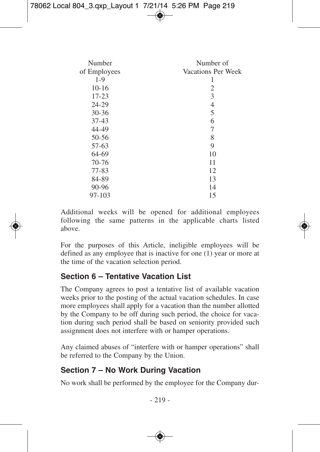| Number       | Number of          |
|--------------|--------------------|
| of Employees | Vacations Per Week |
| $1-9$        | ı                  |
| $10-16$      | 2                  |
| $17 - 23$    | 3                  |
| 24-29        | 4                  |
| $30 - 36$    | 5                  |
| $37-43$      | 6                  |
| 44-49        | 7                  |
| 50-56        | 8                  |
| 57-63        | 9                  |
| 64-69        | 10                 |
| 70-76        | 11                 |
| $77 - 83$    | 12                 |
| 84-89        | 13                 |
| 90-96        | 14                 |
| 97-103       | 15                 |

Additional weeks will be opened for additional employees following the same patterns in the applicable charts listed above.

For the purposes of this Article, ineligible employees will be defined as any employee that is inactive for one (1) year or more at the time of the vacation selection period.

### **Section 6 – Tentative Vacation List**

The Company agrees to post a tentative list of available vacation weeks prior to the posting of the actual vacation schedules. In case more employees shall apply for a vacation than the number allotted by the Company to be off during such period, the choice for vacation during such period shall be based on seniority provided such assignment does not interfere with or hamper operations.

Any claimed abuses of "interfere with or hamper operations" shall be referred to the Company by the Union.

### **Section 7 – No Work During Vacation**

No work shall be performed by the employee for the Company dur-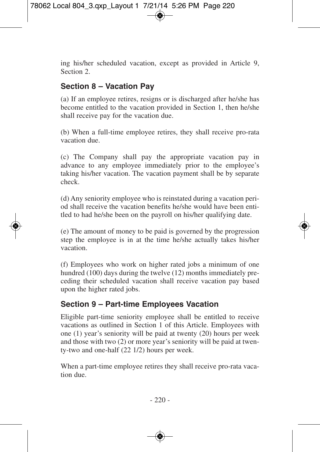ing his/her scheduled vacation, except as provided in Article 9, Section 2.

## **Section 8 – Vacation Pay**

(a) If an employee retires, resigns or is discharged after he/she has become entitled to the vacation provided in Section 1, then he/she shall receive pay for the vacation due.

(b) When a full-time employee retires, they shall receive pro-rata vacation due.

(c) The Company shall pay the appropriate vacation pay in advance to any employee immediately prior to the employee's taking his/her vacation. The vacation payment shall be by separate check.

(d) Any seniority employee who is reinstated during a vacation period shall receive the vacation benefits he/she would have been entitled to had he/she been on the payroll on his/her qualifying date.

(e) The amount of money to be paid is governed by the progression step the employee is in at the time he/she actually takes his/her vacation.

(f) Employees who work on higher rated jobs a minimum of one hundred (100) days during the twelve (12) months immediately preceding their scheduled vacation shall receive vacation pay based upon the higher rated jobs.

### **Section 9 – Part-time Employees Vacation**

Eligible part-time seniority employee shall be entitled to receive vacations as outlined in Section 1 of this Article. Employees with one (1) year's seniority will be paid at twenty (20) hours per week and those with two (2) or more year's seniority will be paid at twenty-two and one-half (22 1/2) hours per week.

When a part-time employee retires they shall receive pro-rata vacation due.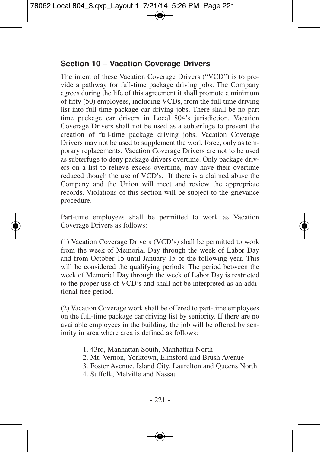### **Section 10 – Vacation Coverage Drivers**

The intent of these Vacation Coverage Drivers ("VCD") is to provide a pathway for full-time package driving jobs. The Company agrees during the life of this agreement it shall promote a minimum of fifty (50) employees, including VCDs, from the full time driving list into full time package car driving jobs. There shall be no part time package car drivers in Local 804's jurisdiction. Vacation Coverage Drivers shall not be used as a subterfuge to prevent the creation of full-time package driving jobs. Vacation Coverage Drivers may not be used to supplement the work force, only as temporary replacements. Vacation Coverage Drivers are not to be used as subterfuge to deny package drivers overtime. Only package drivers on a list to relieve excess overtime, may have their overtime reduced though the use of VCD's. If there is a claimed abuse the Company and the Union will meet and review the appropriate records. Violations of this section will be subject to the grievance procedure.

Part-time employees shall be permitted to work as Vacation Coverage Drivers as follows:

(1) Vacation Coverage Drivers (VCD's) shall be permitted to work from the week of Memorial Day through the week of Labor Day and from October 15 until January 15 of the following year. This will be considered the qualifying periods. The period between the week of Memorial Day through the week of Labor Day is restricted to the proper use of VCD's and shall not be interpreted as an additional free period.

(2) Vacation Coverage work shall be offered to part-time employees on the full-time package car driving list by seniority. If there are no available employees in the building, the job will be offered by seniority in area where area is defined as follows:

- 1. 43rd, Manhattan South, Manhattan North
- 2. Mt. Vernon, Yorktown, Elmsford and Brush Avenue
- 3. Foster Avenue, Island City, Laurelton and Queens North
- 4. Suffolk, Melville and Nassau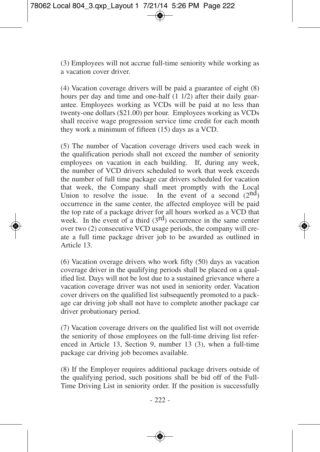(3) Employees will not accrue full-time seniority while working as a vacation cover driver.

(4) Vacation coverage drivers will be paid a guarantee of eight (8) hours per day and time and one-half  $(1 1/2)$  after their daily guarantee. Employees working as VCDs will be paid at no less than twenty-one dollars (\$21.00) per hour. Employees working as VCDs shall receive wage progression service time credit for each month they work a minimum of fifteen (15) days as a VCD.

(5) The number of Vacation coverage drivers used each week in the qualification periods shall not exceed the number of seniority employees on vacation in each building. If, during any week, the number of VCD drivers scheduled to work that week exceeds the number of full time package car drivers scheduled for vacation that week, the Company shall meet promptly with the Local Union to resolve the issue. In the event of a second  $(2^{nd})$ occurrence in the same center, the affected employee will be paid the top rate of a package driver for all hours worked as a VCD that week. In the event of a third  $(3<sup>rd</sup>)$  occurrence in the same center over two (2) consecutive VCD usage periods, the company will create a full time package driver job to be awarded as outlined in Article 13.

(6) Vacation overage drivers who work fifty (50) days as vacation coverage driver in the qualifying periods shall be placed on a qualified list. Days will not be lost due to a sustained grievance where a vacation coverage driver was not used in seniority order. Vacation cover drivers on the qualified list subsequently promoted to a package car driving job shall not have to complete another package car driver probationary period.

(7) Vacation coverage drivers on the qualified list will not override the seniority of those employees on the full-time driving list referenced in Article 13, Section 9, number 13 (3), when a full-time package car driving job becomes available.

(8) If the Employer requires additional package drivers outside of the qualifying period, such positions shall be bid off of the Full-Time Driving List in seniority order. If the position is successfully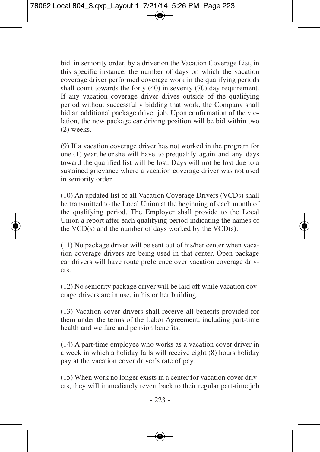bid, in seniority order, by a driver on the Vacation Coverage List, in this specific instance, the number of days on which the vacation coverage driver performed coverage work in the qualifying periods shall count towards the forty (40) in seventy (70) day requirement. If any vacation coverage driver drives outside of the qualifying period without successfully bidding that work, the Company shall bid an additional package driver job. Upon confirmation of the violation, the new package car driving position will be bid within two (2) weeks.

(9) If a vacation coverage driver has not worked in the program for one (1) year, he or she will have to prequalify again and any days toward the qualified list will be lost. Days will not be lost due to a sustained grievance where a vacation coverage driver was not used in seniority order.

(10) An updated list of all Vacation Coverage Drivers (VCDs) shall be transmitted to the Local Union at the beginning of each month of the qualifying period. The Employer shall provide to the Local Union a report after each qualifying period indicating the names of the  $VCD(s)$  and the number of days worked by the  $VCD(s)$ .

(11) No package driver will be sent out of his/her center when vacation coverage drivers are being used in that center. Open package car drivers will have route preference over vacation coverage drivers.

(12) No seniority package driver will be laid off while vacation coverage drivers are in use, in his or her building.

(13) Vacation cover drivers shall receive all benefits provided for them under the terms of the Labor Agreement, including part-time health and welfare and pension benefits.

(14) A part-time employee who works as a vacation cover driver in a week in which a holiday falls will receive eight (8) hours holiday pay at the vacation cover driver's rate of pay.

(15) When work no longer exists in a center for vacation cover drivers, they will immediately revert back to their regular part-time job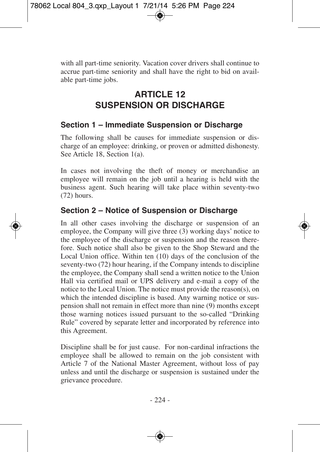with all part-time seniority. Vacation cover drivers shall continue to accrue part-time seniority and shall have the right to bid on available part-time jobs.

# **ARTICLE 12 SUSPENSION OR DISCHARGE**

### **Section 1 – Immediate Suspension or Discharge**

The following shall be causes for immediate suspension or discharge of an employee: drinking, or proven or admitted dishonesty. See Article 18, Section 1(a).

In cases not involving the theft of money or merchandise an employee will remain on the job until a hearing is held with the business agent. Such hearing will take place within seventy-two (72) hours.

### **Section 2 – Notice of Suspension or Discharge**

In all other cases involving the discharge or suspension of an employee, the Company will give three (3) working days' notice to the employee of the discharge or suspension and the reason therefore. Such notice shall also be given to the Shop Steward and the Local Union office. Within ten (10) days of the conclusion of the seventy-two (72) hour hearing, if the Company intends to discipline the employee, the Company shall send a written notice to the Union Hall via certified mail or UPS delivery and e-mail a copy of the notice to the Local Union. The notice must provide the reason(s), on which the intended discipline is based. Any warning notice or suspension shall not remain in effect more than nine (9) months except those warning notices issued pursuant to the so-called "Drinking Rule" covered by separate letter and incorporated by reference into this Agreement.

Discipline shall be for just cause. For non-cardinal infractions the employee shall be allowed to remain on the job consistent with Article 7 of the National Master Agreement, without loss of pay unless and until the discharge or suspension is sustained under the grievance procedure.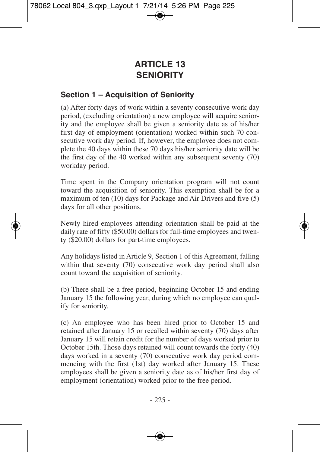# **ARTICLE 13 SENIORITY**

### **Section 1 – Acquisition of Seniority**

(a) After forty days of work within a seventy consecutive work day period, (excluding orientation) a new employee will acquire seniority and the employee shall be given a seniority date as of his/her first day of employment (orientation) worked within such 70 consecutive work day period. If, however, the employee does not complete the 40 days within these 70 days his/her seniority date will be the first day of the 40 worked within any subsequent seventy (70) workday period.

Time spent in the Company orientation program will not count toward the acquisition of seniority. This exemption shall be for a maximum of ten (10) days for Package and Air Drivers and five (5) days for all other positions.

Newly hired employees attending orientation shall be paid at the daily rate of fifty (\$50.00) dollars for full-time employees and twenty (\$20.00) dollars for part-time employees.

Any holidays listed in Article 9, Section 1 of this Agreement, falling within that seventy (70) consecutive work day period shall also count toward the acquisition of seniority.

(b) There shall be a free period, beginning October 15 and ending January 15 the following year, during which no employee can qualify for seniority.

(c) An employee who has been hired prior to October 15 and retained after January 15 or recalled within seventy (70) days after January 15 will retain credit for the number of days worked prior to October 15th. Those days retained will count towards the forty (40) days worked in a seventy (70) consecutive work day period commencing with the first (1st) day worked after January 15. These employees shall be given a seniority date as of his/her first day of employment (orientation) worked prior to the free period.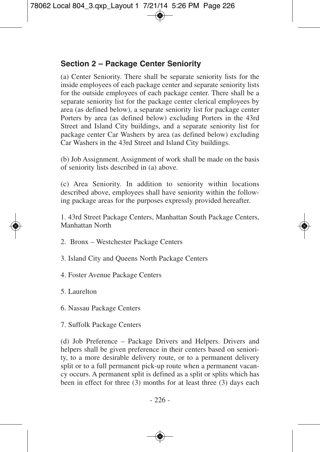## **Section 2 – Package Center Seniority**

(a) Center Seniority. There shall be separate seniority lists for the inside employees of each package center and separate seniority lists for the outside employees of each package center. There shall be a separate seniority list for the package center clerical employees by area (as defined below), a separate seniority list for package center Porters by area (as defined below) excluding Porters in the 43rd Street and Island City buildings, and a separate seniority list for package center Car Washers by area (as defined below) excluding Car Washers in the 43rd Street and Island City buildings.

(b) Job Assignment. Assignment of work shall be made on the basis of seniority lists described in (a) above.

(c) Area Seniority. In addition to seniority within locations described above, employees shall have seniority within the following package areas for the purposes expressly provided hereafter.

1. 43rd Street Package Centers, Manhattan South Package Centers, Manhattan North

- 2. Bronx Westchester Package Centers
- 3. Island City and Queens North Package Centers
- 4. Foster Avenue Package Centers
- 5. Laurelton
- 6. Nassau Package Centers
- 7. Suffolk Package Centers

(d) Job Preference – Package Drivers and Helpers. Drivers and helpers shall be given preference in their centers based on seniority, to a more desirable delivery route, or to a permanent delivery split or to a full permanent pick-up route when a permanent vacancy occurs. A permanent split is defined as a split or splits which has been in effect for three (3) months for at least three (3) days each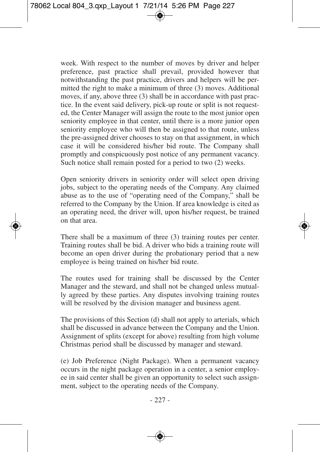week. With respect to the number of moves by driver and helper preference, past practice shall prevail, provided however that notwithstanding the past practice, drivers and helpers will be permitted the right to make a minimum of three (3) moves. Additional moves, if any, above three (3) shall be in accordance with past practice. In the event said delivery, pick-up route or split is not requested, the Center Manager will assign the route to the most junior open seniority employee in that center, until there is a more junior open seniority employee who will then be assigned to that route, unless the pre-assigned driver chooses to stay on that assignment, in which case it will be considered his/her bid route. The Company shall promptly and conspicuously post notice of any permanent vacancy. Such notice shall remain posted for a period to two  $(2)$  weeks.

Open seniority drivers in seniority order will select open driving jobs, subject to the operating needs of the Company. Any claimed abuse as to the use of "operating need of the Company," shall be referred to the Company by the Union. If area knowledge is cited as an operating need, the driver will, upon his/her request, be trained on that area.

There shall be a maximum of three (3) training routes per center. Training routes shall be bid. A driver who bids a training route will become an open driver during the probationary period that a new employee is being trained on his/her bid route.

The routes used for training shall be discussed by the Center Manager and the steward, and shall not be changed unless mutually agreed by these parties. Any disputes involving training routes will be resolved by the division manager and business agent.

The provisions of this Section (d) shall not apply to arterials, which shall be discussed in advance between the Company and the Union. Assignment of splits (except for above) resulting from high volume Christmas period shall be discussed by manager and steward.

(e) Job Preference (Night Package). When a permanent vacancy occurs in the night package operation in a center, a senior employee in said center shall be given an opportunity to select such assignment, subject to the operating needs of the Company.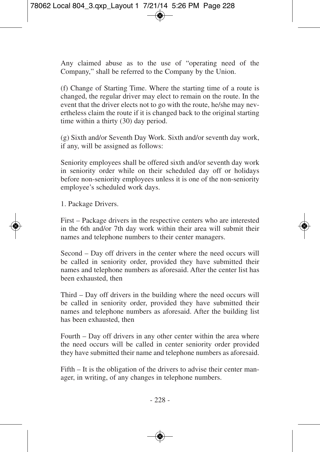Any claimed abuse as to the use of "operating need of the Company," shall be referred to the Company by the Union.

(f) Change of Starting Time. Where the starting time of a route is changed, the regular driver may elect to remain on the route. In the event that the driver elects not to go with the route, he/she may nevertheless claim the route if it is changed back to the original starting time within a thirty (30) day period.

(g) Sixth and/or Seventh Day Work. Sixth and/or seventh day work, if any, will be assigned as follows:

Seniority employees shall be offered sixth and/or seventh day work in seniority order while on their scheduled day off or holidays before non-seniority employees unless it is one of the non-seniority employee's scheduled work days.

1. Package Drivers.

First – Package drivers in the respective centers who are interested in the 6th and/or 7th day work within their area will submit their names and telephone numbers to their center managers.

Second – Day off drivers in the center where the need occurs will be called in seniority order, provided they have submitted their names and telephone numbers as aforesaid. After the center list has been exhausted, then

Third – Day off drivers in the building where the need occurs will be called in seniority order, provided they have submitted their names and telephone numbers as aforesaid. After the building list has been exhausted, then

Fourth – Day off drivers in any other center within the area where the need occurs will be called in center seniority order provided they have submitted their name and telephone numbers as aforesaid.

Fifth – It is the obligation of the drivers to advise their center manager, in writing, of any changes in telephone numbers.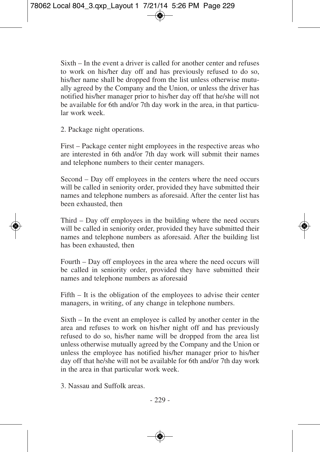Sixth – In the event a driver is called for another center and refuses to work on his/her day off and has previously refused to do so, his/her name shall be dropped from the list unless otherwise mutually agreed by the Company and the Union, or unless the driver has notified his/her manager prior to his/her day off that he/she will not be available for 6th and/or 7th day work in the area, in that particular work week.

2. Package night operations.

First – Package center night employees in the respective areas who are interested in 6th and/or 7th day work will submit their names and telephone numbers to their center managers.

Second – Day off employees in the centers where the need occurs will be called in seniority order, provided they have submitted their names and telephone numbers as aforesaid. After the center list has been exhausted, then

Third – Day off employees in the building where the need occurs will be called in seniority order, provided they have submitted their names and telephone numbers as aforesaid. After the building list has been exhausted, then

Fourth – Day off employees in the area where the need occurs will be called in seniority order, provided they have submitted their names and telephone numbers as aforesaid

Fifth – It is the obligation of the employees to advise their center managers, in writing, of any change in telephone numbers.

Sixth – In the event an employee is called by another center in the area and refuses to work on his/her night off and has previously refused to do so, his/her name will be dropped from the area list unless otherwise mutually agreed by the Company and the Union or unless the employee has notified his/her manager prior to his/her day off that he/she will not be available for 6th and/or 7th day work in the area in that particular work week.

3. Nassau and Suffolk areas.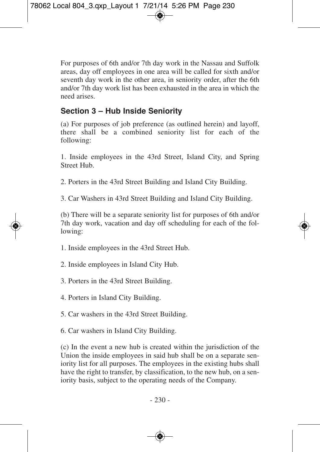For purposes of 6th and/or 7th day work in the Nassau and Suffolk areas, day off employees in one area will be called for sixth and/or seventh day work in the other area, in seniority order, after the 6th and/or 7th day work list has been exhausted in the area in which the need arises.

## **Section 3 – Hub Inside Seniority**

(a) For purposes of job preference (as outlined herein) and layoff, there shall be a combined seniority list for each of the following:

1. Inside employees in the 43rd Street, Island City, and Spring Street Hub.

2. Porters in the 43rd Street Building and Island City Building.

3. Car Washers in 43rd Street Building and Island City Building.

(b) There will be a separate seniority list for purposes of 6th and/or 7th day work, vacation and day off scheduling for each of the following:

- 1. Inside employees in the 43rd Street Hub.
- 2. Inside employees in Island City Hub.
- 3. Porters in the 43rd Street Building.
- 4. Porters in Island City Building.
- 5. Car washers in the 43rd Street Building.
- 6. Car washers in Island City Building.

(c) In the event a new hub is created within the jurisdiction of the Union the inside employees in said hub shall be on a separate seniority list for all purposes. The employees in the existing hubs shall have the right to transfer, by classification, to the new hub, on a seniority basis, subject to the operating needs of the Company.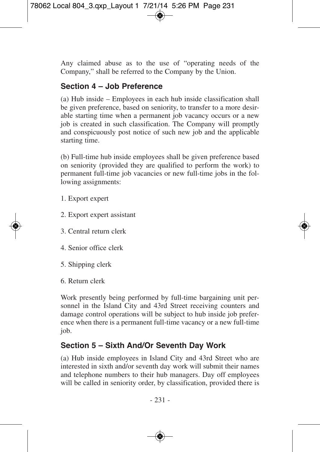Any claimed abuse as to the use of "operating needs of the Company," shall be referred to the Company by the Union.

## **Section 4 – Job Preference**

(a) Hub inside – Employees in each hub inside classification shall be given preference, based on seniority, to transfer to a more desirable starting time when a permanent job vacancy occurs or a new job is created in such classification. The Company will promptly and conspicuously post notice of such new job and the applicable starting time.

(b) Full-time hub inside employees shall be given preference based on seniority (provided they are qualified to perform the work) to permanent full-time job vacancies or new full-time jobs in the following assignments:

- 1. Export expert
- 2. Export expert assistant
- 3. Central return clerk
- 4. Senior office clerk
- 5. Shipping clerk
- 6. Return clerk

Work presently being performed by full-time bargaining unit personnel in the Island City and 43rd Street receiving counters and damage control operations will be subject to hub inside job preference when there is a permanent full-time vacancy or a new full-time job.

## **Section 5 – Sixth And/Or Seventh Day Work**

(a) Hub inside employees in Island City and 43rd Street who are interested in sixth and/or seventh day work will submit their names and telephone numbers to their hub managers. Day off employees will be called in seniority order, by classification, provided there is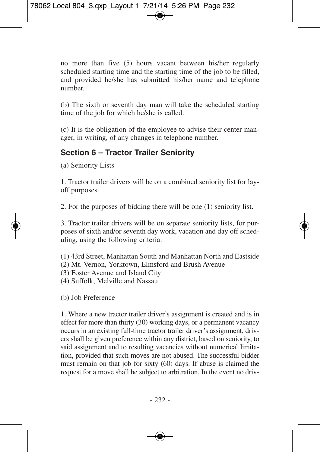no more than five (5) hours vacant between his/her regularly scheduled starting time and the starting time of the job to be filled, and provided he/she has submitted his/her name and telephone number.

(b) The sixth or seventh day man will take the scheduled starting time of the job for which he/she is called.

(c) It is the obligation of the employee to advise their center manager, in writing, of any changes in telephone number.

## **Section 6 – Tractor Trailer Seniority**

(a) Seniority Lists

1. Tractor trailer drivers will be on a combined seniority list for layoff purposes.

2. For the purposes of bidding there will be one (1) seniority list.

3. Tractor trailer drivers will be on separate seniority lists, for purposes of sixth and/or seventh day work, vacation and day off scheduling, using the following criteria:

- (1) 43rd Street, Manhattan South and Manhattan North and Eastside
- (2) Mt. Vernon, Yorktown, Elmsford and Brush Avenue
- (3) Foster Avenue and Island City
- (4) Suffolk, Melville and Nassau

(b) Job Preference

1. Where a new tractor trailer driver's assignment is created and is in effect for more than thirty (30) working days, or a permanent vacancy occurs in an existing full-time tractor trailer driver's assignment, drivers shall be given preference within any district, based on seniority, to said assignment and to resulting vacancies without numerical limitation, provided that such moves are not abused. The successful bidder must remain on that job for sixty (60) days. If abuse is claimed the request for a move shall be subject to arbitration. In the event no driv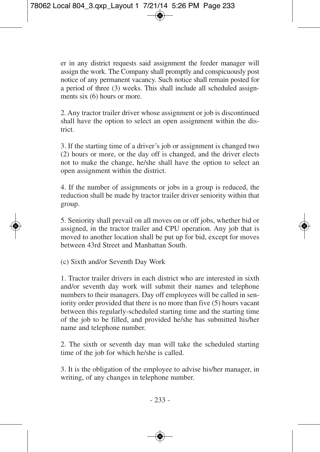er in any district requests said assignment the feeder manager will assign the work. The Company shall promptly and conspicuously post notice of any permanent vacancy. Such notice shall remain posted for a period of three (3) weeks. This shall include all scheduled assignments six (6) hours or more.

2. Any tractor trailer driver whose assignment or job is discontinued shall have the option to select an open assignment within the district.

3. If the starting time of a driver's job or assignment is changed two (2) hours or more, or the day off is changed, and the driver elects not to make the change, he/she shall have the option to select an open assignment within the district.

4. If the number of assignments or jobs in a group is reduced, the reduction shall be made by tractor trailer driver seniority within that group.

5. Seniority shall prevail on all moves on or off jobs, whether bid or assigned, in the tractor trailer and CPU operation. Any job that is moved to another location shall be put up for bid, except for moves between 43rd Street and Manhattan South.

(c) Sixth and/or Seventh Day Work

1. Tractor trailer drivers in each district who are interested in sixth and/or seventh day work will submit their names and telephone numbers to their managers. Day off employees will be called in seniority order provided that there is no more than five (5) hours vacant between this regularly-scheduled starting time and the starting time of the job to be filled, and provided he/she has submitted his/her name and telephone number.

2. The sixth or seventh day man will take the scheduled starting time of the job for which he/she is called.

3. It is the obligation of the employee to advise his/her manager, in writing, of any changes in telephone number.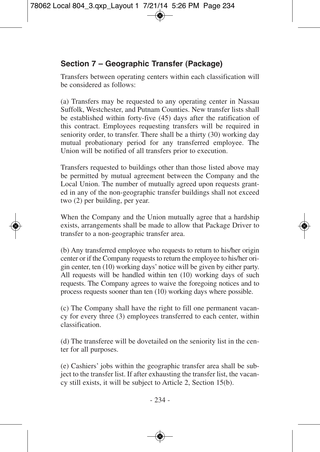# **Section 7 – Geographic Transfer (Package)**

Transfers between operating centers within each classification will be considered as follows:

(a) Transfers may be requested to any operating center in Nassau Suffolk, Westchester, and Putnam Counties. New transfer lists shall be established within forty-five (45) days after the ratification of this contract. Employees requesting transfers will be required in seniority order, to transfer. There shall be a thirty (30) working day mutual probationary period for any transferred employee. The Union will be notified of all transfers prior to execution.

Transfers requested to buildings other than those listed above may be permitted by mutual agreement between the Company and the Local Union. The number of mutually agreed upon requests granted in any of the non-geographic transfer buildings shall not exceed two (2) per building, per year.

When the Company and the Union mutually agree that a hardship exists, arrangements shall be made to allow that Package Driver to transfer to a non-geographic transfer area.

(b) Any transferred employee who requests to return to his/her origin center or if the Company requests to return the employee to his/her origin center, ten (10) working days' notice will be given by either party. All requests will be handled within ten (10) working days of such requests. The Company agrees to waive the foregoing notices and to process requests sooner than ten (10) working days where possible.

(c) The Company shall have the right to fill one permanent vacancy for every three (3) employees transferred to each center, within classification.

(d) The transferee will be dovetailed on the seniority list in the center for all purposes.

(e) Cashiers' jobs within the geographic transfer area shall be subject to the transfer list. If after exhausting the transfer list, the vacancy still exists, it will be subject to Article 2, Section 15(b).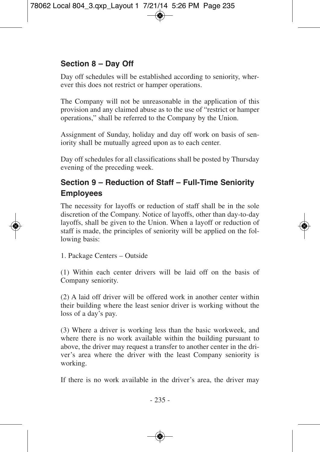# **Section 8 – Day Off**

Day off schedules will be established according to seniority, wherever this does not restrict or hamper operations.

The Company will not be unreasonable in the application of this provision and any claimed abuse as to the use of "restrict or hamper operations," shall be referred to the Company by the Union.

Assignment of Sunday, holiday and day off work on basis of seniority shall be mutually agreed upon as to each center.

Day off schedules for all classifications shall be posted by Thursday evening of the preceding week.

# **Section 9 – Reduction of Staff – Full-Time Seniority Employees**

The necessity for layoffs or reduction of staff shall be in the sole discretion of the Company. Notice of layoffs, other than day-to-day layoffs, shall be given to the Union. When a layoff or reduction of staff is made, the principles of seniority will be applied on the following basis:

1. Package Centers – Outside

(1) Within each center drivers will be laid off on the basis of Company seniority.

(2) A laid off driver will be offered work in another center within their building where the least senior driver is working without the loss of a day's pay.

(3) Where a driver is working less than the basic workweek, and where there is no work available within the building pursuant to above, the driver may request a transfer to another center in the driver's area where the driver with the least Company seniority is working.

If there is no work available in the driver's area, the driver may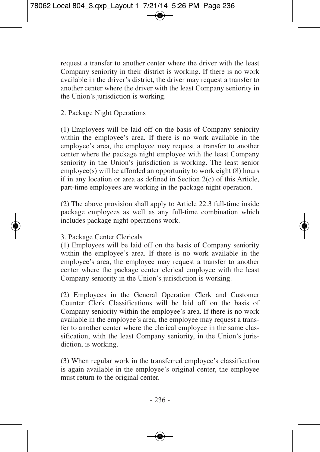request a transfer to another center where the driver with the least Company seniority in their district is working. If there is no work available in the driver's district, the driver may request a transfer to another center where the driver with the least Company seniority in the Union's jurisdiction is working.

#### 2. Package Night Operations

(1) Employees will be laid off on the basis of Company seniority within the employee's area. If there is no work available in the employee's area, the employee may request a transfer to another center where the package night employee with the least Company seniority in the Union's jurisdiction is working. The least senior employee(s) will be afforded an opportunity to work eight (8) hours if in any location or area as defined in Section 2(c) of this Article, part-time employees are working in the package night operation.

(2) The above provision shall apply to Article 22.3 full-time inside package employees as well as any full-time combination which includes package night operations work.

#### 3. Package Center Clericals

(1) Employees will be laid off on the basis of Company seniority within the employee's area. If there is no work available in the employee's area, the employee may request a transfer to another center where the package center clerical employee with the least Company seniority in the Union's jurisdiction is working.

(2) Employees in the General Operation Clerk and Customer Counter Clerk Classifications will be laid off on the basis of Company seniority within the employee's area. If there is no work available in the employee's area, the employee may request a transfer to another center where the clerical employee in the same classification, with the least Company seniority, in the Union's jurisdiction, is working.

(3) When regular work in the transferred employee's classification is again available in the employee's original center, the employee must return to the original center.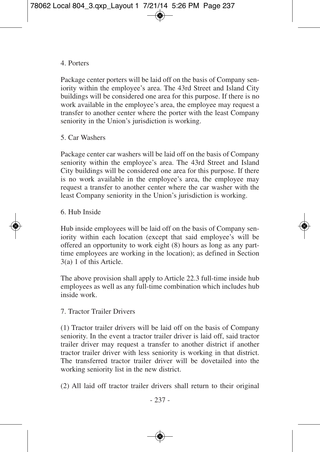#### 4. Porters

Package center porters will be laid off on the basis of Company seniority within the employee's area. The 43rd Street and Island City buildings will be considered one area for this purpose. If there is no work available in the employee's area, the employee may request a transfer to another center where the porter with the least Company seniority in the Union's jurisdiction is working.

#### 5. Car Washers

Package center car washers will be laid off on the basis of Company seniority within the employee's area. The 43rd Street and Island City buildings will be considered one area for this purpose. If there is no work available in the employee's area, the employee may request a transfer to another center where the car washer with the least Company seniority in the Union's jurisdiction is working.

#### 6. Hub Inside

Hub inside employees will be laid off on the basis of Company seniority within each location (except that said employee's will be offered an opportunity to work eight (8) hours as long as any parttime employees are working in the location); as defined in Section 3(a) 1 of this Article.

The above provision shall apply to Article 22.3 full-time inside hub employees as well as any full-time combination which includes hub inside work.

#### 7. Tractor Trailer Drivers

(1) Tractor trailer drivers will be laid off on the basis of Company seniority. In the event a tractor trailer driver is laid off, said tractor trailer driver may request a transfer to another district if another tractor trailer driver with less seniority is working in that district. The transferred tractor trailer driver will be dovetailed into the working seniority list in the new district.

(2) All laid off tractor trailer drivers shall return to their original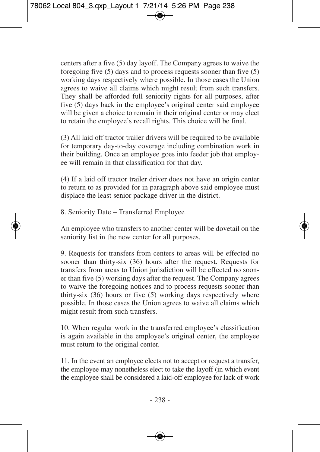centers after a five (5) day layoff. The Company agrees to waive the foregoing five (5) days and to process requests sooner than five (5) working days respectively where possible. In those cases the Union agrees to waive all claims which might result from such transfers. They shall be afforded full seniority rights for all purposes, after five (5) days back in the employee's original center said employee will be given a choice to remain in their original center or may elect to retain the employee's recall rights. This choice will be final.

(3) All laid off tractor trailer drivers will be required to be available for temporary day-to-day coverage including combination work in their building. Once an employee goes into feeder job that employee will remain in that classification for that day.

(4) If a laid off tractor trailer driver does not have an origin center to return to as provided for in paragraph above said employee must displace the least senior package driver in the district.

8. Seniority Date – Transferred Employee

An employee who transfers to another center will be dovetail on the seniority list in the new center for all purposes.

9. Requests for transfers from centers to areas will be effected no sooner than thirty-six (36) hours after the request. Requests for transfers from areas to Union jurisdiction will be effected no sooner than five (5) working days after the request. The Company agrees to waive the foregoing notices and to process requests sooner than thirty-six (36) hours or five (5) working days respectively where possible. In those cases the Union agrees to waive all claims which might result from such transfers.

10. When regular work in the transferred employee's classification is again available in the employee's original center, the employee must return to the original center.

11. In the event an employee elects not to accept or request a transfer, the employee may nonetheless elect to take the layoff (in which event the employee shall be considered a laid-off employee for lack of work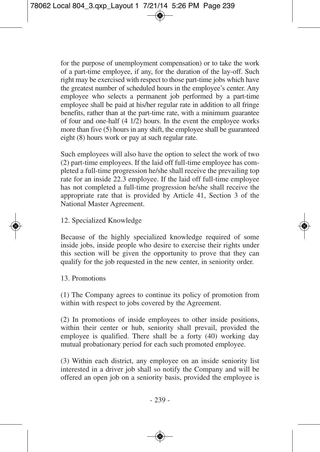for the purpose of unemployment compensation) or to take the work of a part-time employee, if any, for the duration of the lay-off. Such right may be exercised with respect to those part-time jobs which have the greatest number of scheduled hours in the employee's center. Any employee who selects a permanent job performed by a part-time employee shall be paid at his/her regular rate in addition to all fringe benefits, rather than at the part-time rate, with a minimum guarantee of four and one-half (4 1/2) hours. In the event the employee works more than five (5) hours in any shift, the employee shall be guaranteed eight (8) hours work or pay at such regular rate.

Such employees will also have the option to select the work of two (2) part-time employees. If the laid off full-time employee has completed a full-time progression he/she shall receive the prevailing top rate for an inside 22.3 employee. If the laid off full-time employee has not completed a full-time progression he/she shall receive the appropriate rate that is provided by Article 41, Section 3 of the National Master Agreement.

#### 12. Specialized Knowledge

Because of the highly specialized knowledge required of some inside jobs, inside people who desire to exercise their rights under this section will be given the opportunity to prove that they can qualify for the job requested in the new center, in seniority order.

#### 13. Promotions

(1) The Company agrees to continue its policy of promotion from within with respect to jobs covered by the Agreement.

(2) In promotions of inside employees to other inside positions, within their center or hub, seniority shall prevail, provided the employee is qualified. There shall be a forty (40) working day mutual probationary period for each such promoted employee.

(3) Within each district, any employee on an inside seniority list interested in a driver job shall so notify the Company and will be offered an open job on a seniority basis, provided the employee is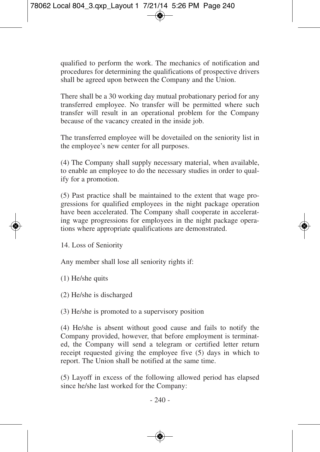qualified to perform the work. The mechanics of notification and procedures for determining the qualifications of prospective drivers shall be agreed upon between the Company and the Union.

There shall be a 30 working day mutual probationary period for any transferred employee. No transfer will be permitted where such transfer will result in an operational problem for the Company because of the vacancy created in the inside job.

The transferred employee will be dovetailed on the seniority list in the employee's new center for all purposes.

(4) The Company shall supply necessary material, when available, to enable an employee to do the necessary studies in order to qualify for a promotion.

(5) Past practice shall be maintained to the extent that wage progressions for qualified employees in the night package operation have been accelerated. The Company shall cooperate in accelerating wage progressions for employees in the night package operations where appropriate qualifications are demonstrated.

14. Loss of Seniority

Any member shall lose all seniority rights if:

(1) He/she quits

(2) He/she is discharged

(3) He/she is promoted to a supervisory position

(4) He/she is absent without good cause and fails to notify the Company provided, however, that before employment is terminated, the Company will send a telegram or certified letter return receipt requested giving the employee five (5) days in which to report. The Union shall be notified at the same time.

(5) Layoff in excess of the following allowed period has elapsed since he/she last worked for the Company: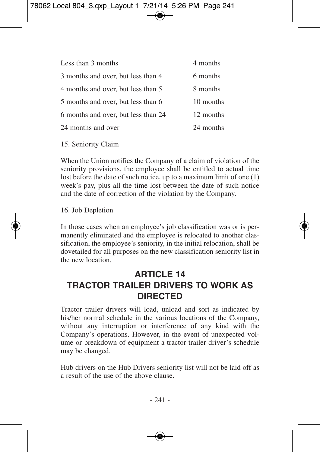| Less than 3 months                  | 4 months  |
|-------------------------------------|-----------|
| 3 months and over, but less than 4  | 6 months  |
| 4 months and over, but less than 5  | 8 months  |
| 5 months and over, but less than 6  | 10 months |
| 6 months and over, but less than 24 | 12 months |
| 24 months and over                  | 24 months |
|                                     |           |

15. Seniority Claim

When the Union notifies the Company of a claim of violation of the seniority provisions, the employee shall be entitled to actual time lost before the date of such notice, up to a maximum limit of one (1) week's pay, plus all the time lost between the date of such notice and the date of correction of the violation by the Company.

16. Job Depletion

In those cases when an employee's job classification was or is permanently eliminated and the employee is relocated to another classification, the employee's seniority, in the initial relocation, shall be dovetailed for all purposes on the new classification seniority list in the new location.

# **ARTICLE 14 TRACTOR TRAILER DRIVERS TO WORK AS DIRECTED**

Tractor trailer drivers will load, unload and sort as indicated by his/her normal schedule in the various locations of the Company, without any interruption or interference of any kind with the Company's operations. However, in the event of unexpected volume or breakdown of equipment a tractor trailer driver's schedule may be changed.

Hub drivers on the Hub Drivers seniority list will not be laid off as a result of the use of the above clause.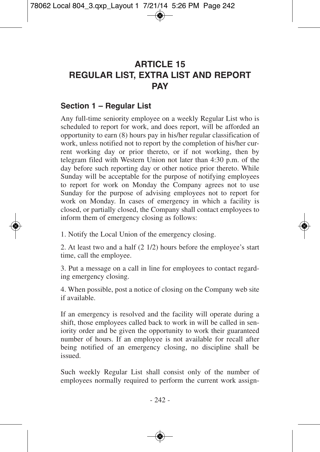# **ARTICLE 15 REGULAR LIST, EXTRA LIST AND REPORT PAY**

#### **Section 1 – Regular List**

Any full-time seniority employee on a weekly Regular List who is scheduled to report for work, and does report, will be afforded an opportunity to earn (8) hours pay in his/her regular classification of work, unless notified not to report by the completion of his/her current working day or prior thereto, or if not working, then by telegram filed with Western Union not later than 4:30 p.m. of the day before such reporting day or other notice prior thereto. While Sunday will be acceptable for the purpose of notifying employees to report for work on Monday the Company agrees not to use Sunday for the purpose of advising employees not to report for work on Monday. In cases of emergency in which a facility is closed, or partially closed, the Company shall contact employees to inform them of emergency closing as follows:

1. Notify the Local Union of the emergency closing.

2. At least two and a half (2 1/2) hours before the employee's start time, call the employee.

3. Put a message on a call in line for employees to contact regarding emergency closing.

4. When possible, post a notice of closing on the Company web site if available.

If an emergency is resolved and the facility will operate during a shift, those employees called back to work in will be called in seniority order and be given the opportunity to work their guaranteed number of hours. If an employee is not available for recall after being notified of an emergency closing, no discipline shall be issued.

Such weekly Regular List shall consist only of the number of employees normally required to perform the current work assign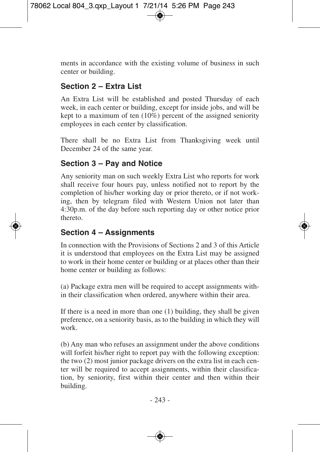ments in accordance with the existing volume of business in such center or building.

# **Section 2 – Extra List**

An Extra List will be established and posted Thursday of each week, in each center or building, except for inside jobs, and will be kept to a maximum of ten (10%) percent of the assigned seniority employees in each center by classification.

There shall be no Extra List from Thanksgiving week until December 24 of the same year.

## **Section 3 – Pay and Notice**

Any seniority man on such weekly Extra List who reports for work shall receive four hours pay, unless notified not to report by the completion of his/her working day or prior thereto, or if not working, then by telegram filed with Western Union not later than 4:30p.m. of the day before such reporting day or other notice prior thereto.

### **Section 4 – Assignments**

In connection with the Provisions of Sections 2 and 3 of this Article it is understood that employees on the Extra List may be assigned to work in their home center or building or at places other than their home center or building as follows:

(a) Package extra men will be required to accept assignments within their classification when ordered, anywhere within their area.

If there is a need in more than one (1) building, they shall be given preference, on a seniority basis, as to the building in which they will work.

(b) Any man who refuses an assignment under the above conditions will forfeit his/her right to report pay with the following exception: the two (2) most junior package drivers on the extra list in each center will be required to accept assignments, within their classification, by seniority, first within their center and then within their building.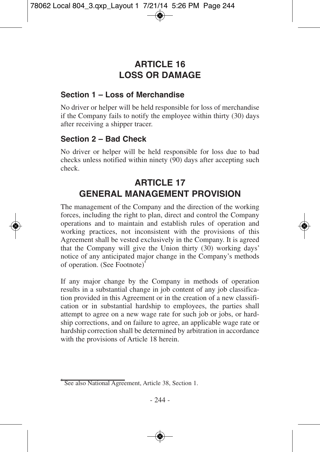# **ARTICLE 16 LOSS OR DAMAGE**

### **Section 1 – Loss of Merchandise**

No driver or helper will be held responsible for loss of merchandise if the Company fails to notify the employee within thirty (30) days after receiving a shipper tracer.

# **Section 2 – Bad Check**

No driver or helper will be held responsible for loss due to bad checks unless notified within ninety (90) days after accepting such check.

# **ARTICLE 17 GENERAL MANAGEMENT PROVISION**

The management of the Company and the direction of the working forces, including the right to plan, direct and control the Company operations and to maintain and establish rules of operation and working practices, not inconsistent with the provisions of this Agreement shall be vested exclusively in the Company. It is agreed that the Company will give the Union thirty (30) working days' notice of any anticipated major change in the Company's methods of operation. (See Footnote) 4

If any major change by the Company in methods of operation results in a substantial change in job content of any job classification provided in this Agreement or in the creation of a new classification or in substantial hardship to employees, the parties shall attempt to agree on a new wage rate for such job or jobs, or hardship corrections, and on failure to agree, an applicable wage rate or hardship correction shall be determined by arbitration in accordance with the provisions of Article 18 herein.

<sup>4</sup> See also National Agreement, Article 38, Section 1.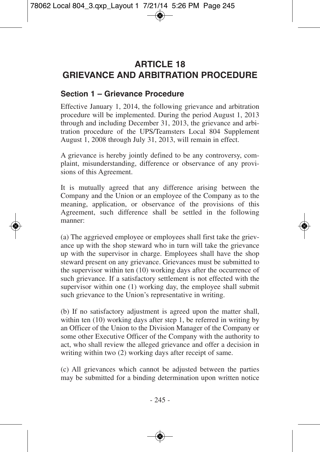# **ARTICLE 18 GRIEVANCE AND ARBITRATION PROCEDURE**

#### **Section 1 – Grievance Procedure**

Effective January 1, 2014, the following grievance and arbitration procedure will be implemented. During the period August 1, 2013 through and including December 31, 2013, the grievance and arbitration procedure of the UPS/Teamsters Local 804 Supplement August 1, 2008 through July 31, 2013, will remain in effect.

A grievance is hereby jointly defined to be any controversy, complaint, misunderstanding, difference or observance of any provisions of this Agreement.

It is mutually agreed that any difference arising between the Company and the Union or an employee of the Company as to the meaning, application, or observance of the provisions of this Agreement, such difference shall be settled in the following manner:

(a) The aggrieved employee or employees shall first take the grievance up with the shop steward who in turn will take the grievance up with the supervisor in charge. Employees shall have the shop steward present on any grievance. Grievances must be submitted to the supervisor within ten (10) working days after the occurrence of such grievance. If a satisfactory settlement is not effected with the supervisor within one (1) working day, the employee shall submit such grievance to the Union's representative in writing.

(b) If no satisfactory adjustment is agreed upon the matter shall, within ten (10) working days after step 1, be referred in writing by an Officer of the Union to the Division Manager of the Company or some other Executive Officer of the Company with the authority to act, who shall review the alleged grievance and offer a decision in writing within two (2) working days after receipt of same.

(c) All grievances which cannot be adjusted between the parties may be submitted for a binding determination upon written notice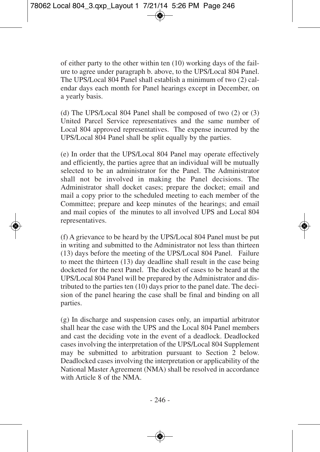of either party to the other within ten (10) working days of the failure to agree under paragraph b. above, to the UPS/Local 804 Panel. The UPS/Local 804 Panel shall establish a minimum of two (2) calendar days each month for Panel hearings except in December, on a yearly basis.

(d) The UPS/Local 804 Panel shall be composed of two (2) or (3) United Parcel Service representatives and the same number of Local 804 approved representatives. The expense incurred by the UPS/Local 804 Panel shall be split equally by the parties.

(e) In order that the UPS/Local 804 Panel may operate effectively and efficiently, the parties agree that an individual will be mutually selected to be an administrator for the Panel. The Administrator shall not be involved in making the Panel decisions. The Administrator shall docket cases; prepare the docket; email and mail a copy prior to the scheduled meeting to each member of the Committee; prepare and keep minutes of the hearings; and email and mail copies of the minutes to all involved UPS and Local 804 representatives.

(f) A grievance to be heard by the UPS/Local 804 Panel must be put in writing and submitted to the Administrator not less than thirteen (13) days before the meeting of the UPS/Local 804 Panel. Failure to meet the thirteen (13) day deadline shall result in the case being docketed for the next Panel. The docket of cases to be heard at the UPS/Local 804 Panel will be prepared by the Administrator and distributed to the parties ten (10) days prior to the panel date. The decision of the panel hearing the case shall be final and binding on all parties.

(g) In discharge and suspension cases only, an impartial arbitrator shall hear the case with the UPS and the Local 804 Panel members and cast the deciding vote in the event of a deadlock. Deadlocked cases involving the interpretation of the UPS/Local 804 Supplement may be submitted to arbitration pursuant to Section 2 below. Deadlocked cases involving the interpretation or applicability of the National Master Agreement (NMA) shall be resolved in accordance with Article 8 of the NMA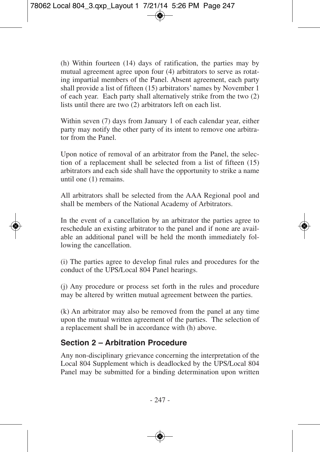(h) Within fourteen (14) days of ratification, the parties may by mutual agreement agree upon four (4) arbitrators to serve as rotating impartial members of the Panel. Absent agreement, each party shall provide a list of fifteen (15) arbitrators' names by November 1 of each year. Each party shall alternatively strike from the two (2) lists until there are two (2) arbitrators left on each list.

Within seven (7) days from January 1 of each calendar year, either party may notify the other party of its intent to remove one arbitrator from the Panel.

Upon notice of removal of an arbitrator from the Panel, the selection of a replacement shall be selected from a list of fifteen (15) arbitrators and each side shall have the opportunity to strike a name until one (1) remains.

All arbitrators shall be selected from the AAA Regional pool and shall be members of the National Academy of Arbitrators.

In the event of a cancellation by an arbitrator the parties agree to reschedule an existing arbitrator to the panel and if none are available an additional panel will be held the month immediately following the cancellation.

(i) The parties agree to develop final rules and procedures for the conduct of the UPS/Local 804 Panel hearings.

(j) Any procedure or process set forth in the rules and procedure may be altered by written mutual agreement between the parties.

(k) An arbitrator may also be removed from the panel at any time upon the mutual written agreement of the parties. The selection of a replacement shall be in accordance with (h) above.

### **Section 2 – Arbitration Procedure**

Any non-disciplinary grievance concerning the interpretation of the Local 804 Supplement which is deadlocked by the UPS/Local 804 Panel may be submitted for a binding determination upon written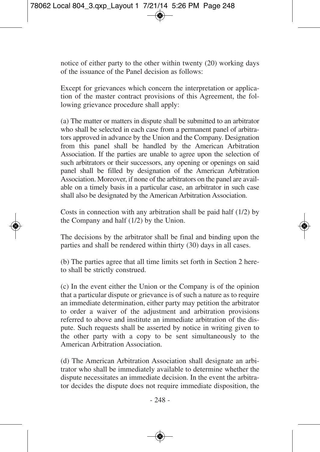notice of either party to the other within twenty (20) working days of the issuance of the Panel decision as follows:

Except for grievances which concern the interpretation or application of the master contract provisions of this Agreement, the following grievance procedure shall apply:

(a) The matter or matters in dispute shall be submitted to an arbitrator who shall be selected in each case from a permanent panel of arbitrators approved in advance by the Union and the Company. Designation from this panel shall be handled by the American Arbitration Association. If the parties are unable to agree upon the selection of such arbitrators or their successors, any opening or openings on said panel shall be filled by designation of the American Arbitration Association. Moreover, if none of the arbitrators on the panel are available on a timely basis in a particular case, an arbitrator in such case shall also be designated by the American Arbitration Association.

Costs in connection with any arbitration shall be paid half (1/2) by the Company and half (1/2) by the Union.

The decisions by the arbitrator shall be final and binding upon the parties and shall be rendered within thirty (30) days in all cases.

(b) The parties agree that all time limits set forth in Section 2 hereto shall be strictly construed.

(c) In the event either the Union or the Company is of the opinion that a particular dispute or grievance is of such a nature as to require an immediate determination, either party may petition the arbitrator to order a waiver of the adjustment and arbitration provisions referred to above and institute an immediate arbitration of the dispute. Such requests shall be asserted by notice in writing given to the other party with a copy to be sent simultaneously to the American Arbitration Association.

(d) The American Arbitration Association shall designate an arbitrator who shall be immediately available to determine whether the dispute necessitates an immediate decision. In the event the arbitrator decides the dispute does not require immediate disposition, the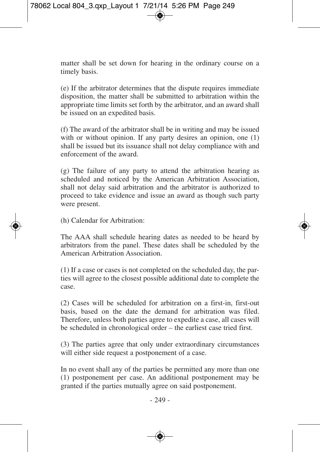matter shall be set down for hearing in the ordinary course on a timely basis.

(e) If the arbitrator determines that the dispute requires immediate disposition, the matter shall be submitted to arbitration within the appropriate time limits set forth by the arbitrator, and an award shall be issued on an expedited basis.

(f) The award of the arbitrator shall be in writing and may be issued with or without opinion. If any party desires an opinion, one (1) shall be issued but its issuance shall not delay compliance with and enforcement of the award.

(g) The failure of any party to attend the arbitration hearing as scheduled and noticed by the American Arbitration Association, shall not delay said arbitration and the arbitrator is authorized to proceed to take evidence and issue an award as though such party were present.

(h) Calendar for Arbitration:

The AAA shall schedule hearing dates as needed to be heard by arbitrators from the panel. These dates shall be scheduled by the American Arbitration Association.

(1) If a case or cases is not completed on the scheduled day, the parties will agree to the closest possible additional date to complete the case.

(2) Cases will be scheduled for arbitration on a first-in, first-out basis, based on the date the demand for arbitration was filed. Therefore, unless both parties agree to expedite a case, all cases will be scheduled in chronological order – the earliest case tried first.

(3) The parties agree that only under extraordinary circumstances will either side request a postponement of a case.

In no event shall any of the parties be permitted any more than one (1) postponement per case. An additional postponement may be granted if the parties mutually agree on said postponement.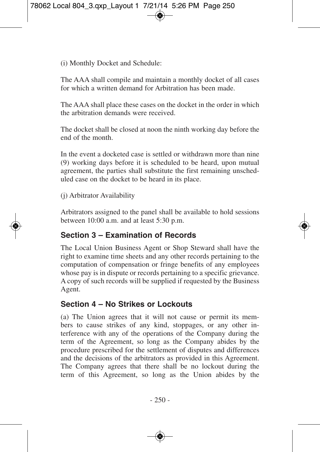(i) Monthly Docket and Schedule:

The AAA shall compile and maintain a monthly docket of all cases for which a written demand for Arbitration has been made.

The AAA shall place these cases on the docket in the order in which the arbitration demands were received.

The docket shall be closed at noon the ninth working day before the end of the month.

In the event a docketed case is settled or withdrawn more than nine (9) working days before it is scheduled to be heard, upon mutual agreement, the parties shall substitute the first remaining unscheduled case on the docket to be heard in its place.

(j) Arbitrator Availability

Arbitrators assigned to the panel shall be available to hold sessions between 10:00 a.m. and at least 5:30 p.m.

### **Section 3 – Examination of Records**

The Local Union Business Agent or Shop Steward shall have the right to examine time sheets and any other records pertaining to the computation of compensation or fringe benefits of any employees whose pay is in dispute or records pertaining to a specific grievance. A copy of such records will be supplied if requested by the Business Agent.

### **Section 4 – No Strikes or Lockouts**

(a) The Union agrees that it will not cause or permit its members to cause strikes of any kind, stoppages, or any other interference with any of the operations of the Company during the term of the Agreement, so long as the Company abides by the procedure prescribed for the settlement of disputes and differences and the decisions of the arbitrators as provided in this Agreement. The Company agrees that there shall be no lockout during the term of this Agreement, so long as the Union abides by the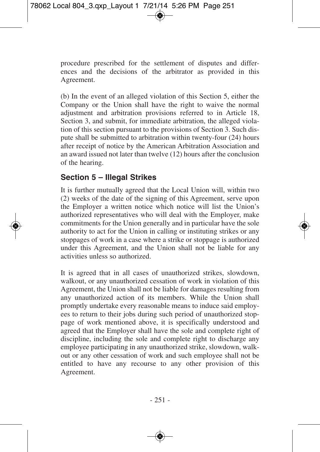procedure prescribed for the settlement of disputes and differences and the decisions of the arbitrator as provided in this Agreement.

(b) In the event of an alleged violation of this Section 5, either the Company or the Union shall have the right to waive the normal adjustment and arbitration provisions referred to in Article 18, Section 3, and submit, for immediate arbitration, the alleged violation of this section pursuant to the provisions of Section 3. Such dispute shall be submitted to arbitration within twenty-four (24) hours after receipt of notice by the American Arbitration Association and an award issued not later than twelve (12) hours after the conclusion of the hearing.

#### **Section 5 – Illegal Strikes**

It is further mutually agreed that the Local Union will, within two (2) weeks of the date of the signing of this Agreement, serve upon the Employer a written notice which notice will list the Union's authorized representatives who will deal with the Employer, make commitments for the Union generally and in particular have the sole authority to act for the Union in calling or instituting strikes or any stoppages of work in a case where a strike or stoppage is authorized under this Agreement, and the Union shall not be liable for any activities unless so authorized.

It is agreed that in all cases of unauthorized strikes, slowdown, walkout, or any unauthorized cessation of work in violation of this Agreement, the Union shall not be liable for damages resulting from any unauthorized action of its members. While the Union shall promptly undertake every reasonable means to induce said employees to return to their jobs during such period of unauthorized stoppage of work mentioned above, it is specifically understood and agreed that the Employer shall have the sole and complete right of discipline, including the sole and complete right to discharge any employee participating in any unauthorized strike, slowdown, walkout or any other cessation of work and such employee shall not be entitled to have any recourse to any other provision of this Agreement.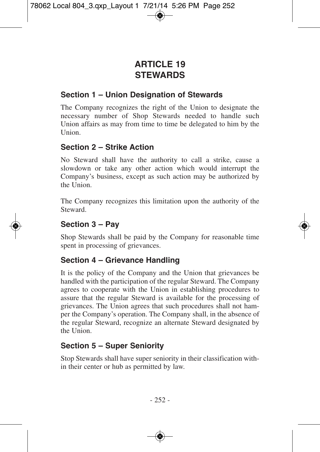# **ARTICLE 19 STEWARDS**

#### **Section 1 – Union Designation of Stewards**

The Company recognizes the right of the Union to designate the necessary number of Shop Stewards needed to handle such Union affairs as may from time to time be delegated to him by the Union.

#### **Section 2 – Strike Action**

No Steward shall have the authority to call a strike, cause a slowdown or take any other action which would interrupt the Company's business, except as such action may be authorized by the Union.

The Company recognizes this limitation upon the authority of the Steward.

### **Section 3 – Pay**

Shop Stewards shall be paid by the Company for reasonable time spent in processing of grievances.

#### **Section 4 – Grievance Handling**

It is the policy of the Company and the Union that grievances be handled with the participation of the regular Steward. The Company agrees to cooperate with the Union in establishing procedures to assure that the regular Steward is available for the processing of grievances. The Union agrees that such procedures shall not hamper the Company's operation. The Company shall, in the absence of the regular Steward, recognize an alternate Steward designated by the Union.

#### **Section 5 – Super Seniority**

Stop Stewards shall have super seniority in their classification within their center or hub as permitted by law.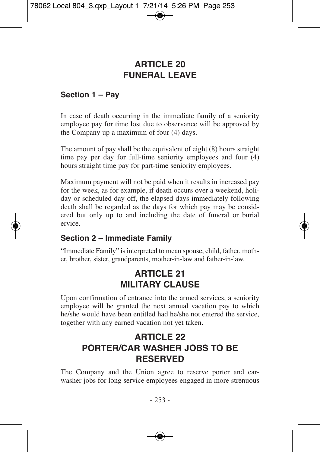# **ARTICLE 20 FUNERAL LEAVE**

#### **Section 1 – Pay**

In case of death occurring in the immediate family of a seniority employee pay for time lost due to observance will be approved by the Company up a maximum of four (4) days.

The amount of pay shall be the equivalent of eight (8) hours straight time pay per day for full-time seniority employees and four (4) hours straight time pay for part-time seniority employees.

Maximum payment will not be paid when it results in increased pay for the week, as for example, if death occurs over a weekend, holiday or scheduled day off, the elapsed days immediately following death shall be regarded as the days for which pay may be considered but only up to and including the date of funeral or burial ervice.

#### **Section 2 – Immediate Family**

"Immediate Family" is interpreted to mean spouse, child, father, mother, brother, sister, grandparents, mother-in-law and father-in-law.

# **ARTICLE 21 MILITARY CLAUSE**

Upon confirmation of entrance into the armed services, a seniority employee will be granted the next annual vacation pay to which he/she would have been entitled had he/she not entered the service, together with any earned vacation not yet taken.

# **ARTICLE 22 PORTER/CAR WASHER JOBS TO BE RESERVED**

The Company and the Union agree to reserve porter and carwasher jobs for long service employees engaged in more strenuous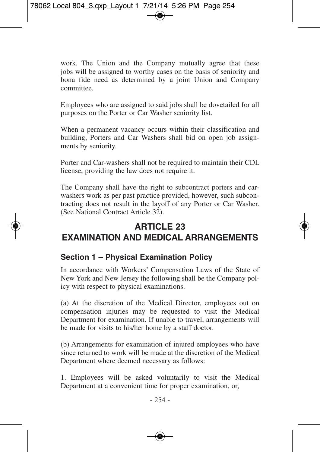work. The Union and the Company mutually agree that these jobs will be assigned to worthy cases on the basis of seniority and bona fide need as determined by a joint Union and Company committee.

Employees who are assigned to said jobs shall be dovetailed for all purposes on the Porter or Car Washer seniority list.

When a permanent vacancy occurs within their classification and building, Porters and Car Washers shall bid on open job assignments by seniority.

Porter and Car-washers shall not be required to maintain their CDL license, providing the law does not require it.

The Company shall have the right to subcontract porters and carwashers work as per past practice provided, however, such subcontracting does not result in the layoff of any Porter or Car Washer. (See National Contract Article 32).

# **ARTICLE 23 EXAMINATION AND MEDICAL ARRANGEMENTS**

### **Section 1 – Physical Examination Policy**

In accordance with Workers' Compensation Laws of the State of New York and New Jersey the following shall be the Company policy with respect to physical examinations.

(a) At the discretion of the Medical Director, employees out on compensation injuries may be requested to visit the Medical Department for examination. If unable to travel, arrangements will be made for visits to his/her home by a staff doctor.

(b) Arrangements for examination of injured employees who have since returned to work will be made at the discretion of the Medical Department where deemed necessary as follows:

1. Employees will be asked voluntarily to visit the Medical Department at a convenient time for proper examination, or,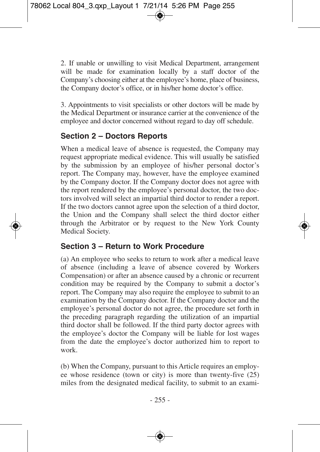2. If unable or unwilling to visit Medical Department, arrangement will be made for examination locally by a staff doctor of the Company's choosing either at the employee's home, place of business, the Company doctor's office, or in his/her home doctor's office.

3. Appointments to visit specialists or other doctors will be made by the Medical Department or insurance carrier at the convenience of the employee and doctor concerned without regard to day off schedule.

### **Section 2 – Doctors Reports**

When a medical leave of absence is requested, the Company may request appropriate medical evidence. This will usually be satisfied by the submission by an employee of his/her personal doctor's report. The Company may, however, have the employee examined by the Company doctor. If the Company doctor does not agree with the report rendered by the employee's personal doctor, the two doctors involved will select an impartial third doctor to render a report. If the two doctors cannot agree upon the selection of a third doctor, the Union and the Company shall select the third doctor either through the Arbitrator or by request to the New York County Medical Society.

#### **Section 3 – Return to Work Procedure**

(a) An employee who seeks to return to work after a medical leave of absence (including a leave of absence covered by Workers Compensation) or after an absence caused by a chronic or recurrent condition may be required by the Company to submit a doctor's report. The Company may also require the employee to submit to an examination by the Company doctor. If the Company doctor and the employee's personal doctor do not agree, the procedure set forth in the preceding paragraph regarding the utilization of an impartial third doctor shall be followed. If the third party doctor agrees with the employee's doctor the Company will be liable for lost wages from the date the employee's doctor authorized him to report to work.

(b) When the Company, pursuant to this Article requires an employee whose residence (town or city) is more than twenty-five (25) miles from the designated medical facility, to submit to an exami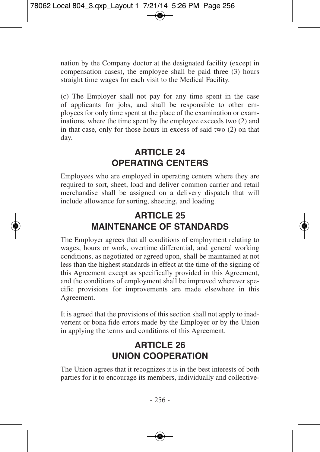nation by the Company doctor at the designated facility (except in compensation cases), the employee shall be paid three (3) hours straight time wages for each visit to the Medical Facility.

(c) The Employer shall not pay for any time spent in the case of applicants for jobs, and shall be responsible to other employees for only time spent at the place of the examination or examinations, where the time spent by the employee exceeds two (2) and in that case, only for those hours in excess of said two (2) on that day.

# **ARTICLE 24 OPERATING CENTERS**

Employees who are employed in operating centers where they are required to sort, sheet, load and deliver common carrier and retail merchandise shall be assigned on a delivery dispatch that will include allowance for sorting, sheeting, and loading.

# **ARTICLE 25 MAINTENANCE OF STANDARDS**

The Employer agrees that all conditions of employment relating to wages, hours or work, overtime differential, and general working conditions, as negotiated or agreed upon, shall be maintained at not less than the highest standards in effect at the time of the signing of this Agreement except as specifically provided in this Agreement, and the conditions of employment shall be improved wherever specific provisions for improvements are made elsewhere in this Agreement.

It is agreed that the provisions of this section shall not apply to inadvertent or bona fide errors made by the Employer or by the Union in applying the terms and conditions of this Agreement.

# **ARTICLE 26 UNION COOPERATION**

The Union agrees that it recognizes it is in the best interests of both parties for it to encourage its members, individually and collective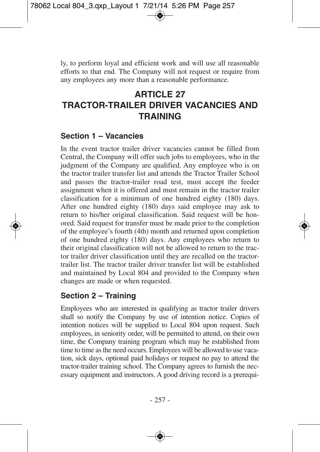ly, to perform loyal and efficient work and will use all reasonable efforts to that end. The Company will not request or require from any employees any more than a reasonable performance.

# **ARTICLE 27 TRACTOR-TRAILER DRIVER VACANCIES AND TRAINING**

#### **Section 1 – Vacancies**

In the event tractor trailer driver vacancies cannot be filled from Central, the Company will offer such jobs to employees, who in the judgment of the Company are qualified. Any employee who is on the tractor trailer transfer list and attends the Tractor Trailer School and passes the tractor-trailer road test, must accept the feeder assignment when it is offered and must remain in the tractor trailer classification for a minimum of one hundred eighty (180) days. After one hundred eighty (180) days said employee may ask to return to his/her original classification. Said request will be honored. Said request for transfer must be made prior to the completion of the employee's fourth (4th) month and returned upon completion of one hundred eighty (180) days. Any employees who return to their original classification will not be allowed to return to the tractor trailer driver classification until they are recalled on the tractortrailer list. The tractor trailer driver transfer list will be established and maintained by Local 804 and provided to the Company when changes are made or when requested.

### **Section 2 – Training**

Employees who are interested in qualifying as tractor trailer drivers shall so notify the Company by use of intention notice. Copies of intention notices will be supplied to Local 804 upon request. Such employees, in seniority order, will be permitted to attend, on their own time, the Company training program which may be established from time to time as the need occurs. Employees will be allowed to use vacation, sick days, optional paid holidays or request no pay to attend the tractor-trailer training school. The Company agrees to furnish the necessary equipment and instructors. A good driving record is a prerequi-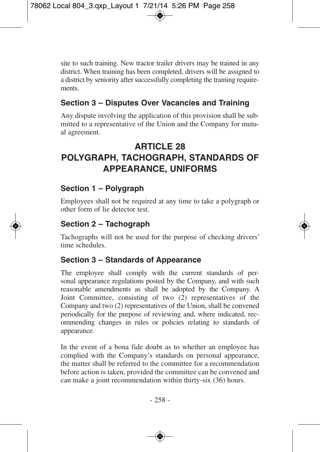site to such training. New tractor trailer drivers may be trained in any district. When training has been completed, drivers will be assigned to a district by seniority after successfully completing the training requirements.

### **Section 3 – Disputes Over Vacancies and Training**

Any dispute involving the application of this provision shall be submitted to a representative of the Union and the Company for mutual agreement.

## **ARTICLE 28 POLYGRAPH, TACHOGRAPH, STANDARDS OF APPEARANCE, UNIFORMS**

### **Section 1 – Polygraph**

Employees shall not be required at any time to take a polygraph or other form of lie detector test.

### **Section 2 – Tachograph**

Tachographs will not be used for the purpose of checking drivers' time schedules.

#### **Section 3 – Standards of Appearance**

The employee shall comply with the current standards of personal appearance regulations posted by the Company, and with such reasonable amendments as shall be adopted by the Company. A Joint Committee, consisting of two (2) representatives of the Company and two (2) representatives of the Union, shall be convened periodically for the purpose of reviewing and, where indicated, recommending changes in rules or policies relating to standards of appearance.

In the event of a bona fide doubt as to whether an employee has complied with the Company's standards on personal appearance, the matter shall be referred to the committee for a recommendation before action is taken, provided the committee can be convened and can make a joint recommendation within thirty-six (36) hours.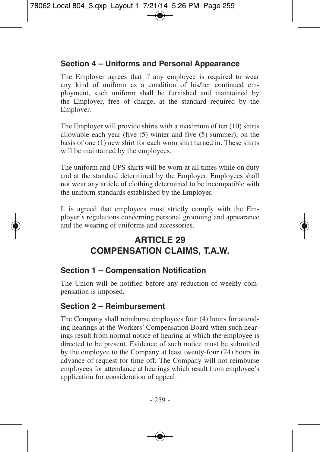### **Section 4 – Uniforms and Personal Appearance**

The Employer agrees that if any employee is required to wear any kind of uniform as a condition of his/her continued employment, such uniform shall be furnished and maintained by the Employer, free of charge, at the standard required by the Employer.

The Employer will provide shirts with a maximum of ten (10) shirts allowable each year (five (5) winter and five (5) summer), on the basis of one (1) new shirt for each worn shirt turned in. These shirts will be maintained by the employees.

The uniform and UPS shirts will be worn at all times while on duty and at the standard determined by the Employer. Employees shall not wear any article of clothing determined to be incompatible with the uniform standards established by the Employer.

It is agreed that employees must strictly comply with the Employer's regulations concerning personal grooming and appearance and the wearing of uniforms and accessories.

# **ARTICLE 29 COMPENSATION CLAIMS, T.A.W.**

### **Section 1 – Compensation Notification**

The Union will be notified before any reduction of weekly compensation is imposed.

### **Section 2 – Reimbursement**

The Company shall reimburse employees four (4) hours for attending hearings at the Workers' Compensation Board when such hearings result from normal notice of hearing at which the employee is directed to be present. Evidence of such notice must be submitted by the employee to the Company at least twenty-four (24) hours in advance of request for time off. The Company will not reimburse employees for attendance at hearings which result from employee's application for consideration of appeal.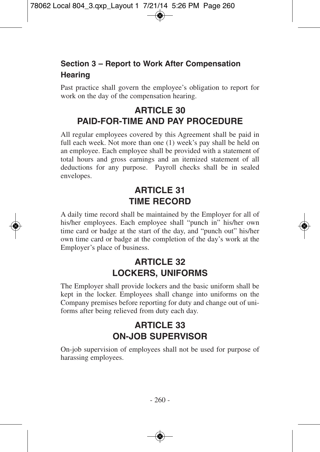### **Section 3 – Report to Work After Compensation Hearing**

Past practice shall govern the employee's obligation to report for work on the day of the compensation hearing.

# **ARTICLE 30 PAID-FOR-TIME AND PAY PROCEDURE**

All regular employees covered by this Agreement shall be paid in full each week. Not more than one (1) week's pay shall be held on an employee. Each employee shall be provided with a statement of total hours and gross earnings and an itemized statement of all deductions for any purpose. Payroll checks shall be in sealed envelopes.

# **ARTICLE 31 TIME RECORD**

A daily time record shall be maintained by the Employer for all of his/her employees. Each employee shall "punch in" his/her own time card or badge at the start of the day, and "punch out" his/her own time card or badge at the completion of the day's work at the Employer's place of business.

## **ARTICLE 32 LOCKERS, UNIFORMS**

The Employer shall provide lockers and the basic uniform shall be kept in the locker. Employees shall change into uniforms on the Company premises before reporting for duty and change out of uniforms after being relieved from duty each day.

### **ARTICLE 33 ON-JOB SUPERVISOR**

On-job supervision of employees shall not be used for purpose of harassing employees.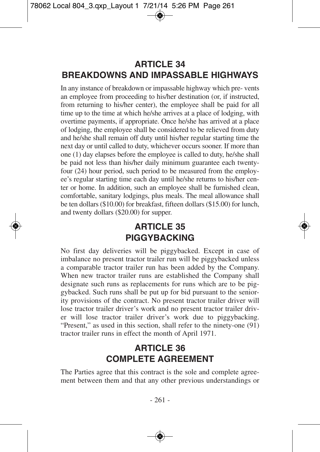# **ARTICLE 34 BREAKDOWNS AND IMPASSABLE HIGHWAYS**

In any instance of breakdown or impassable highway which pre- vents an employee from proceeding to his/her destination (or, if instructed, from returning to his/her center), the employee shall be paid for all time up to the time at which he/she arrives at a place of lodging, with overtime payments, if appropriate. Once he/she has arrived at a place of lodging, the employee shall be considered to be relieved from duty and he/she shall remain off duty until his/her regular starting time the next day or until called to duty, whichever occurs sooner. If more than one (1) day elapses before the employee is called to duty, he/she shall be paid not less than his/her daily minimum guarantee each twentyfour (24) hour period, such period to be measured from the employee's regular starting time each day until he/she returns to his/her center or home. In addition, such an employee shall be furnished clean, comfortable, sanitary lodgings, plus meals. The meal allowance shall be ten dollars (\$10.00) for breakfast, fifteen dollars (\$15.00) for lunch, and twenty dollars (\$20.00) for supper.

# **ARTICLE 35 PIGGYBACKING**

No first day deliveries will be piggybacked. Except in case of imbalance no present tractor trailer run will be piggybacked unless a comparable tractor trailer run has been added by the Company. When new tractor trailer runs are established the Company shall designate such runs as replacements for runs which are to be piggybacked. Such runs shall be put up for bid pursuant to the seniority provisions of the contract. No present tractor trailer driver will lose tractor trailer driver's work and no present tractor trailer driver will lose tractor trailer driver's work due to piggybacking. "Present," as used in this section, shall refer to the ninety-one (91) tractor trailer runs in effect the month of April 1971.

# **ARTICLE 36 COMPLETE AGREEMENT**

The Parties agree that this contract is the sole and complete agreement between them and that any other previous understandings or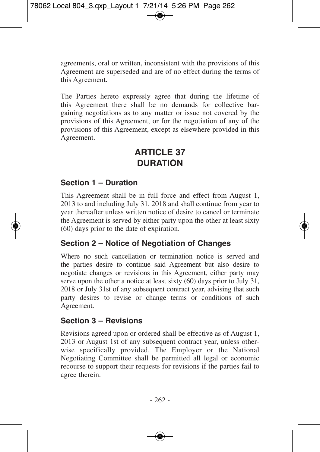agreements, oral or written, inconsistent with the provisions of this Agreement are superseded and are of no effect during the terms of this Agreement.

The Parties hereto expressly agree that during the lifetime of this Agreement there shall be no demands for collective bargaining negotiations as to any matter or issue not covered by the provisions of this Agreement, or for the negotiation of any of the provisions of this Agreement, except as elsewhere provided in this Agreement.

# **ARTICLE 37 DURATION**

#### **Section 1 – Duration**

This Agreement shall be in full force and effect from August 1, 2013 to and including July 31, 2018 and shall continue from year to year thereafter unless written notice of desire to cancel or terminate the Agreement is served by either party upon the other at least sixty (60) days prior to the date of expiration.

#### **Section 2 – Notice of Negotiation of Changes**

Where no such cancellation or termination notice is served and the parties desire to continue said Agreement but also desire to negotiate changes or revisions in this Agreement, either party may serve upon the other a notice at least sixty (60) days prior to July 31, 2018 or July 31st of any subsequent contract year, advising that such party desires to revise or change terms or conditions of such Agreement.

#### **Section 3 – Revisions**

Revisions agreed upon or ordered shall be effective as of August 1, 2013 or August 1st of any subsequent contract year, unless otherwise specifically provided. The Employer or the National Negotiating Committee shall be permitted all legal or economic recourse to support their requests for revisions if the parties fail to agree therein.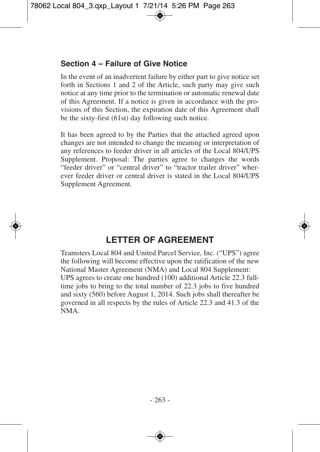### **Section 4 – Failure of Give Notice**

In the event of an inadvertent failure by either part to give notice set forth in Sections 1 and 2 of the Article, such party may give such notice at any time prior to the termination or automatic renewal date of this Agreement. If a notice is given in accordance with the provisions of this Section, the expiration date of this Agreement shall be the sixty-first (61st) day following such notice.

It has been agreed to by the Parties that the attached agreed upon changes are not intended to change the meaning or interpretation of any references to feeder driver in all articles of the Local 804/UPS Supplement. Proposal: The parties agree to changes the words "feeder driver" or "central driver" to "tractor trailer driver" wherever feeder driver or central driver is stated in the Local 804/UPS Supplement Agreement.

# **LETTER OF AGREEMENT**

Teamsters Local 804 and United Parcel Service, Inc. ("UPS") agree the following will become effective upon the ratification of the new National Master Agreement (NMA) and Local 804 Supplement: UPS agrees to create one hundred (100) additional Article 22.3 fulltime jobs to bring to the total number of 22.3 jobs to five hundred and sixty (560) before August 1, 2014. Such jobs shall thereafter be governed in all respects by the rules of Article 22.3 and 41.3 of the NMA.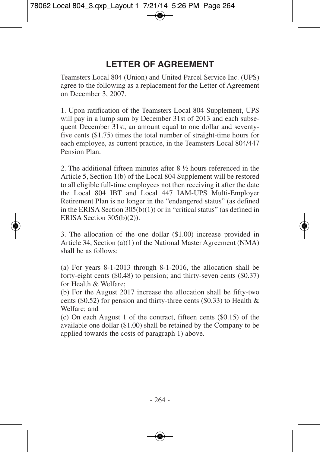# **LETTER OF AGREEMENT**

Teamsters Local 804 (Union) and United Parcel Service Inc. (UPS) agree to the following as a replacement for the Letter of Agreement on December 3, 2007.

1. Upon ratification of the Teamsters Local 804 Supplement, UPS will pay in a lump sum by December 31st of 2013 and each subsequent December 31st, an amount equal to one dollar and seventyfive cents (\$1.75) times the total number of straight-time hours for each employee, as current practice, in the Teamsters Local 804/447 Pension Plan.

2. The additional fifteen minutes after 8 ½ hours referenced in the Article 5, Section 1(b) of the Local 804 Supplement will be restored to all eligible full-time employees not then receiving it after the date the Local 804 IBT and Local 447 IAM-UPS Multi-Employer Retirement Plan is no longer in the "endangered status" (as defined in the ERISA Section 305(b)(1)) or in "critical status" (as defined in ERISA Section 305(b)(2)).

3. The allocation of the one dollar (\$1.00) increase provided in Article 34, Section (a)(1) of the National Master Agreement (NMA) shall be as follows:

(a) For years 8-1-2013 through 8-1-2016, the allocation shall be forty-eight cents (\$0.48) to pension; and thirty-seven cents (\$0.37) for Health & Welfare;

(b) For the August 2017 increase the allocation shall be fifty-two cents (\$0.52) for pension and thirty-three cents (\$0.33) to Health & Welfare; and

(c) On each August 1 of the contract, fifteen cents (\$0.15) of the available one dollar (\$1.00) shall be retained by the Company to be applied towards the costs of paragraph 1) above.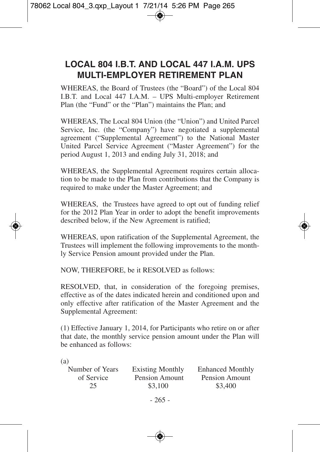## **LOCAL 804 I.B.T. AND LOCAL 447 I.A.M. UPS MULTI-EMPLOYER RETIREMENT PLAN**

WHEREAS, the Board of Trustees (the "Board") of the Local 804 I.B.T. and Local 447 I.A.M. – UPS Multi-employer Retirement Plan (the "Fund" or the "Plan") maintains the Plan; and

WHEREAS, The Local 804 Union (the "Union") and United Parcel Service, Inc. (the "Company") have negotiated a supplemental agreement ("Supplemental Agreement") to the National Master United Parcel Service Agreement ("Master Agreement") for the period August 1, 2013 and ending July 31, 2018; and

WHEREAS, the Supplemental Agreement requires certain allocation to be made to the Plan from contributions that the Company is required to make under the Master Agreement; and

WHEREAS, the Trustees have agreed to opt out of funding relief for the 2012 Plan Year in order to adopt the benefit improvements described below, if the New Agreement is ratified;

WHEREAS, upon ratification of the Supplemental Agreement, the Trustees will implement the following improvements to the monthly Service Pension amount provided under the Plan.

NOW, THEREFORE, be it RESOLVED as follows:

RESOLVED, that, in consideration of the foregoing premises, effective as of the dates indicated herein and conditioned upon and only effective after ratification of the Master Agreement and the Supplemental Agreement:

(1) Effective January 1, 2014, for Participants who retire on or after that date, the monthly service pension amount under the Plan will be enhanced as follows:

| $\sim$<br>I<br>I<br>I |
|-----------------------|

| Number of Years | <b>Existing Monthly</b> | <b>Enhanced Monthly</b> |
|-----------------|-------------------------|-------------------------|
| of Service      | Pension Amount          | Pension Amount          |
| 25              | \$3,100                 | \$3,400                 |
|                 |                         |                         |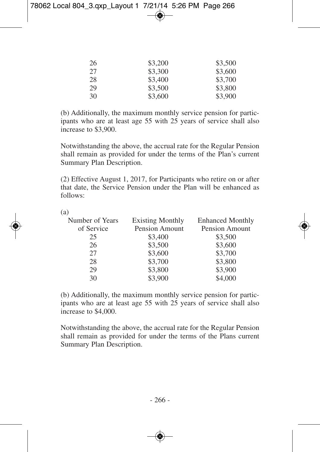| 26 | \$3,200 | \$3,500 |
|----|---------|---------|
| 27 | \$3,300 | \$3,600 |
| 28 | \$3,400 | \$3,700 |
| 29 | \$3,500 | \$3,800 |
| 30 | \$3,600 | \$3,900 |

(b) Additionally, the maximum monthly service pension for participants who are at least age 55 with 25 years of service shall also increase to \$3,900.

Notwithstanding the above, the accrual rate for the Regular Pension shall remain as provided for under the terms of the Plan's current Summary Plan Description.

(2) Effective August 1, 2017, for Participants who retire on or after that date, the Service Pension under the Plan will be enhanced as follows:

(a)

| Number of Years | <b>Existing Monthly</b> | <b>Enhanced Monthly</b> |
|-----------------|-------------------------|-------------------------|
| of Service      | Pension Amount          | Pension Amount          |
| 25              | \$3,400                 | \$3,500                 |
| 26              | \$3,500                 | \$3,600                 |
| 27              | \$3,600                 | \$3,700                 |
| 28              | \$3,700                 | \$3,800                 |
| 29              | \$3,800                 | \$3,900                 |
| 30              | \$3,900                 | \$4,000                 |

(b) Additionally, the maximum monthly service pension for participants who are at least age 55 with 25 years of service shall also increase to \$4,000.

Notwithstanding the above, the accrual rate for the Regular Pension shall remain as provided for under the terms of the Plans current Summary Plan Description.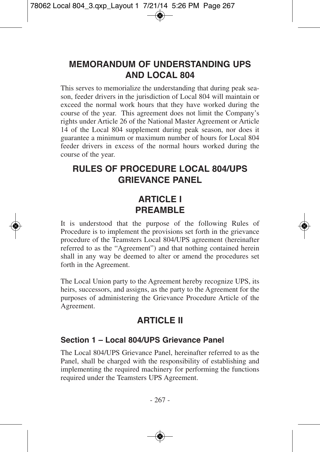# **MEMORANDUM OF UNDERSTANDING UPS AND LOCAL 804**

This serves to memorialize the understanding that during peak season, feeder drivers in the jurisdiction of Local 804 will maintain or exceed the normal work hours that they have worked during the course of the year. This agreement does not limit the Company's rights under Article 26 of the National Master Agreement or Article 14 of the Local 804 supplement during peak season, nor does it guarantee a minimum or maximum number of hours for Local 804 feeder drivers in excess of the normal hours worked during the course of the year.

# **RULES OF PROCEDURE LOCAL 804/UPS GRIEVANCE PANEL**

## **ARTICLE I PREAMBLE**

It is understood that the purpose of the following Rules of Procedure is to implement the provisions set forth in the grievance procedure of the Teamsters Local 804/UPS agreement (hereinafter referred to as the "Agreement") and that nothing contained herein shall in any way be deemed to alter or amend the procedures set forth in the Agreement.

The Local Union party to the Agreement hereby recognize UPS, its heirs, successors, and assigns, as the party to the Agreement for the purposes of administering the Grievance Procedure Article of the Agreement.

## **ARTICLE II**

#### **Section 1 – Local 804/UPS Grievance Panel**

The Local 804/UPS Grievance Panel, hereinafter referred to as the Panel, shall be charged with the responsibility of establishing and implementing the required machinery for performing the functions required under the Teamsters UPS Agreement.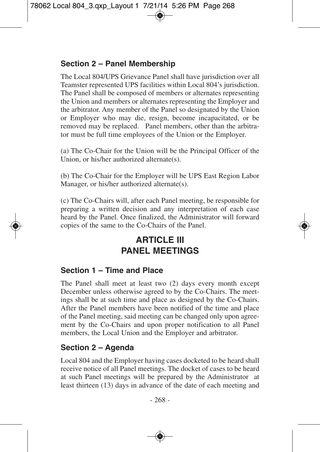### **Section 2 – Panel Membership**

The Local 804/UPS Grievance Panel shall have jurisdiction over all Teamster represented UPS facilities within Local 804's jurisdiction. The Panel shall be composed of members or alternates representing the Union and members or alternates representing the Employer and the arbitrator. Any member of the Panel so designated by the Union or Employer who may die, resign, become incapacitated, or be removed may be replaced. Panel members, other than the arbitrator must be full time employees of the Union or the Employer.

(a) The Co-Chair for the Union will be the Principal Officer of the Union, or his/her authorized alternate(s).

(b) The Co-Chair for the Employer will be UPS East Region Labor Manager, or his/her authorized alternate(s).

(c) The Co-Chairs will, after each Panel meeting, be responsible for preparing a written decision and any interpretation of each case heard by the Panel. Once finalized, the Administrator will forward copies of the same to the Co-Chairs of the Panel.

# **ARTICLE III PANEL MEETINGS**

#### **Section 1 – Time and Place**

The Panel shall meet at least two (2) days every month except December unless otherwise agreed to by the Co-Chairs. The meetings shall be at such time and place as designed by the Co-Chairs. After the Panel members have been notified of the time and place of the Panel meeting, said meeting can be changed only upon agreement by the Co-Chairs and upon proper notification to all Panel members, the Local Union and the Employer and arbitrator.

### **Section 2 – Agenda**

Local 804 and the Employer having cases docketed to be heard shall receive notice of all Panel meetings. The docket of cases to be heard at such Panel meetings will be prepared by the Administrator at least thirteen (13) days in advance of the date of each meeting and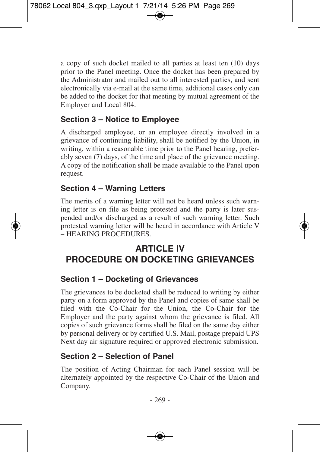a copy of such docket mailed to all parties at least ten (10) days prior to the Panel meeting. Once the docket has been prepared by the Administrator and mailed out to all interested parties, and sent electronically via e-mail at the same time, additional cases only can be added to the docket for that meeting by mutual agreement of the Employer and Local 804.

### **Section 3 – Notice to Employee**

A discharged employee, or an employee directly involved in a grievance of continuing liability, shall be notified by the Union, in writing, within a reasonable time prior to the Panel hearing, preferably seven (7) days, of the time and place of the grievance meeting. A copy of the notification shall be made available to the Panel upon request.

### **Section 4 – Warning Letters**

The merits of a warning letter will not be heard unless such warning letter is on file as being protested and the party is later suspended and/or discharged as a result of such warning letter. Such protested warning letter will be heard in accordance with Article V – HEARING PROCEDURES.

# **ARTICLE IV PROCEDURE ON DOCKETING GRIEVANCES**

### **Section 1 – Docketing of Grievances**

The grievances to be docketed shall be reduced to writing by either party on a form approved by the Panel and copies of same shall be filed with the Co-Chair for the Union, the Co-Chair for the Employer and the party against whom the grievance is filed. All copies of such grievance forms shall be filed on the same day either by personal delivery or by certified U.S. Mail, postage prepaid UPS Next day air signature required or approved electronic submission.

### **Section 2 – Selection of Panel**

The position of Acting Chairman for each Panel session will be alternately appointed by the respective Co-Chair of the Union and Company.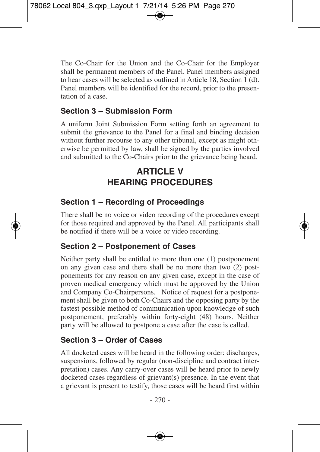The Co-Chair for the Union and the Co-Chair for the Employer shall be permanent members of the Panel. Panel members assigned to hear cases will be selected as outlined in Article 18, Section 1 (d). Panel members will be identified for the record, prior to the presentation of a case.

### **Section 3 – Submission Form**

A uniform Joint Submission Form setting forth an agreement to submit the grievance to the Panel for a final and binding decision without further recourse to any other tribunal, except as might otherwise be permitted by law, shall be signed by the parties involved and submitted to the Co-Chairs prior to the grievance being heard.

# **ARTICLE V HEARING PROCEDURES**

### **Section 1 – Recording of Proceedings**

There shall be no voice or video recording of the procedures except for those required and approved by the Panel. All participants shall be notified if there will be a voice or video recording.

### **Section 2 – Postponement of Cases**

Neither party shall be entitled to more than one (1) postponement on any given case and there shall be no more than two (2) postponements for any reason on any given case, except in the case of proven medical emergency which must be approved by the Union and Company Co-Chairpersons. Notice of request for a postponement shall be given to both Co-Chairs and the opposing party by the fastest possible method of communication upon knowledge of such postponement, preferably within forty-eight (48) hours. Neither party will be allowed to postpone a case after the case is called.

### **Section 3 – Order of Cases**

All docketed cases will be heard in the following order: discharges, suspensions, followed by regular (non-discipline and contract interpretation) cases. Any carry-over cases will be heard prior to newly docketed cases regardless of grievant(s) presence. In the event that a grievant is present to testify, those cases will be heard first within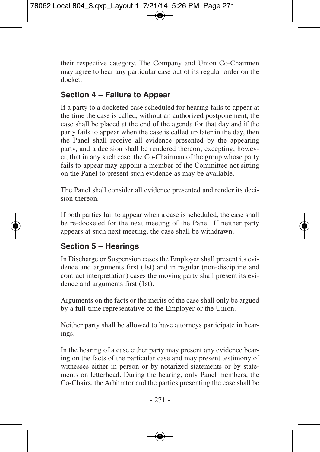their respective category. The Company and Union Co-Chairmen may agree to hear any particular case out of its regular order on the docket.

### **Section 4 – Failure to Appear**

If a party to a docketed case scheduled for hearing fails to appear at the time the case is called, without an authorized postponement, the case shall be placed at the end of the agenda for that day and if the party fails to appear when the case is called up later in the day, then the Panel shall receive all evidence presented by the appearing party, and a decision shall be rendered thereon; excepting, however, that in any such case, the Co-Chairman of the group whose party fails to appear may appoint a member of the Committee not sitting on the Panel to present such evidence as may be available.

The Panel shall consider all evidence presented and render its decision thereon.

If both parties fail to appear when a case is scheduled, the case shall be re-docketed for the next meeting of the Panel. If neither party appears at such next meeting, the case shall be withdrawn.

### **Section 5 – Hearings**

In Discharge or Suspension cases the Employer shall present its evidence and arguments first (1st) and in regular (non-discipline and contract interpretation) cases the moving party shall present its evidence and arguments first (1st).

Arguments on the facts or the merits of the case shall only be argued by a full-time representative of the Employer or the Union.

Neither party shall be allowed to have attorneys participate in hearings.

In the hearing of a case either party may present any evidence bearing on the facts of the particular case and may present testimony of witnesses either in person or by notarized statements or by statements on letterhead. During the hearing, only Panel members, the Co-Chairs, the Arbitrator and the parties presenting the case shall be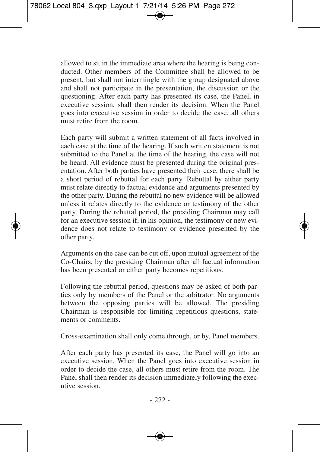allowed to sit in the immediate area where the hearing is being conducted. Other members of the Committee shall be allowed to be present, but shall not intermingle with the group designated above and shall not participate in the presentation, the discussion or the questioning. After each party has presented its case, the Panel, in executive session, shall then render its decision. When the Panel goes into executive session in order to decide the case, all others must retire from the room.

Each party will submit a written statement of all facts involved in each case at the time of the hearing. If such written statement is not submitted to the Panel at the time of the hearing, the case will not be heard. All evidence must be presented during the original presentation. After both parties have presented their case, there shall be a short period of rebuttal for each party. Rebuttal by either party must relate directly to factual evidence and arguments presented by the other party. During the rebuttal no new evidence will be allowed unless it relates directly to the evidence or testimony of the other party. During the rebuttal period, the presiding Chairman may call for an executive session if, in his opinion, the testimony or new evidence does not relate to testimony or evidence presented by the other party.

Arguments on the case can be cut off, upon mutual agreement of the Co-Chairs, by the presiding Chairman after all factual information has been presented or either party becomes repetitious.

Following the rebuttal period, questions may be asked of both parties only by members of the Panel or the arbitrator. No arguments between the opposing parties will be allowed. The presiding Chairman is responsible for limiting repetitious questions, statements or comments.

Cross-examination shall only come through, or by, Panel members.

After each party has presented its case, the Panel will go into an executive session. When the Panel goes into executive session in order to decide the case, all others must retire from the room. The Panel shall then render its decision immediately following the executive session.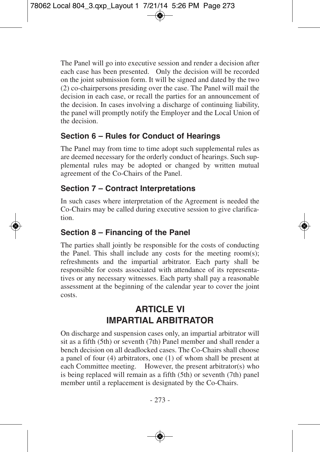The Panel will go into executive session and render a decision after each case has been presented. Only the decision will be recorded on the joint submission form. It will be signed and dated by the two (2) co-chairpersons presiding over the case. The Panel will mail the decision in each case, or recall the parties for an announcement of the decision. In cases involving a discharge of continuing liability, the panel will promptly notify the Employer and the Local Union of the decision.

### **Section 6 – Rules for Conduct of Hearings**

The Panel may from time to time adopt such supplemental rules as are deemed necessary for the orderly conduct of hearings. Such supplemental rules may be adopted or changed by written mutual agreement of the Co-Chairs of the Panel.

### **Section 7 – Contract Interpretations**

In such cases where interpretation of the Agreement is needed the Co-Chairs may be called during executive session to give clarification.

### **Section 8 – Financing of the Panel**

The parties shall jointly be responsible for the costs of conducting the Panel. This shall include any costs for the meeting room(s); refreshments and the impartial arbitrator. Each party shall be responsible for costs associated with attendance of its representatives or any necessary witnesses. Each party shall pay a reasonable assessment at the beginning of the calendar year to cover the joint costs.

# **ARTICLE VI IMPARTIAL ARBITRATOR**

On discharge and suspension cases only, an impartial arbitrator will sit as a fifth (5th) or seventh (7th) Panel member and shall render a bench decision on all deadlocked cases. The Co-Chairs shall choose a panel of four (4) arbitrators, one (1) of whom shall be present at each Committee meeting. However, the present arbitrator(s) who is being replaced will remain as a fifth (5th) or seventh (7th) panel member until a replacement is designated by the Co-Chairs.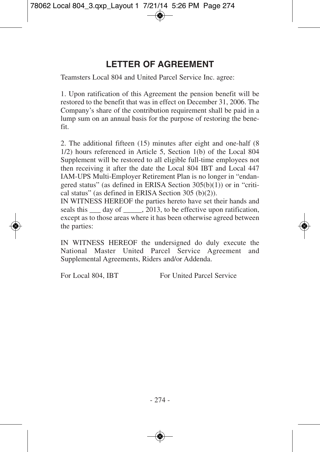# **LETTER OF AGREEMENT**

Teamsters Local 804 and United Parcel Service Inc. agree:

1. Upon ratification of this Agreement the pension benefit will be restored to the benefit that was in effect on December 31, 2006. The Company's share of the contribution requirement shall be paid in a lump sum on an annual basis for the purpose of restoring the benefit.

2. The additional fifteen (15) minutes after eight and one-half (8 1/2) hours referenced in Article 5, Section 1(b) of the Local 804 Supplement will be restored to all eligible full-time employees not then receiving it after the date the Local 804 IBT and Local 447 IAM-UPS Multi-Employer Retirement Plan is no longer in "endangered status" (as defined in ERISA Section 305(b)(1)) or in "critical status" (as defined in ERISA Section 305 (b)(2)).

IN WITNESS HEREOF the parties hereto have set their hands and seals this \_\_\_ day of \_\_\_\_, 2013, to be effective upon ratification, except as to those areas where it has been otherwise agreed between the parties:

IN WITNESS HEREOF the undersigned do duly execute the National Master United Parcel Service Agreement and Supplemental Agreements, Riders and/or Addenda.

For Local 804, IBT For United Parcel Service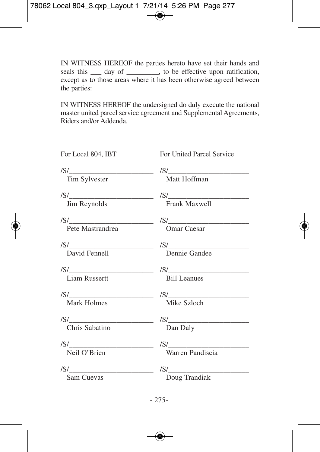IN WITNESS HEREOF the parties hereto have set their hands and seals this  $\_\_\_$  day of  $\_\_\_\_\_$ , to be effective upon ratification, except as to those areas where it has been otherwise agreed between the parties:

IN WITNESS HEREOF the undersigned do duly execute the national master united parcel service agreement and Supplemental Agreements, Riders and/or Addenda.

| For Local 804, IBT                            | For United Parcel Service                                                                                                                                                                                                                                                                                                                                                                                                                                                    |
|-----------------------------------------------|------------------------------------------------------------------------------------------------------------------------------------------------------------------------------------------------------------------------------------------------------------------------------------------------------------------------------------------------------------------------------------------------------------------------------------------------------------------------------|
| Tim Sylvester                                 | $\frac{1}{\sqrt{S}}$<br>Matt Hoffman                                                                                                                                                                                                                                                                                                                                                                                                                                         |
| $\sqrt{S/I}$ /S/<br>Jim Reynolds              | Frank Maxwell                                                                                                                                                                                                                                                                                                                                                                                                                                                                |
| Pete Mastrandrea                              | Omar Caesar                                                                                                                                                                                                                                                                                                                                                                                                                                                                  |
| $\frac{ S }{ S }$ David Fennell Dennie Gandee |                                                                                                                                                                                                                                                                                                                                                                                                                                                                              |
| Liam Russertt                                 | $\frac{1}{\sqrt{S}}$<br>Bill Leanues                                                                                                                                                                                                                                                                                                                                                                                                                                         |
| $\frac{1}{\sqrt{S}}$<br><b>Mark Holmes</b>    | Mike Szloch                                                                                                                                                                                                                                                                                                                                                                                                                                                                  |
| $\frac{1}{\sqrt{S}}$<br>Chris Sabatino        | Dan Daly                                                                                                                                                                                                                                                                                                                                                                                                                                                                     |
| $\frac{ S }{ S }$ /S/<br>Neil O'Brien         | Warren Pandiscia                                                                                                                                                                                                                                                                                                                                                                                                                                                             |
| $\frac{ S }{ S }$<br>Sam Cuevas               | $\mathcal{S}/\mathcal{S}/\mathcal{S}/\mathcal{S}/\mathcal{S}/\mathcal{S}/\mathcal{S}/\mathcal{S}/\mathcal{S}/\mathcal{S}/\mathcal{S}/\mathcal{S}/\mathcal{S}/\mathcal{S}/\mathcal{S}/\mathcal{S}/\mathcal{S}/\mathcal{S}/\mathcal{S}/\mathcal{S}/\mathcal{S}/\mathcal{S}/\mathcal{S}/\mathcal{S}/\mathcal{S}/\mathcal{S}/\mathcal{S}/\mathcal{S}/\mathcal{S}/\mathcal{S}/\mathcal{S}/\mathcal{S}/\mathcal{S}/\mathcal{S}/\mathcal{S}/\mathcal{S}/\mathcal{$<br>Doug Trandiak |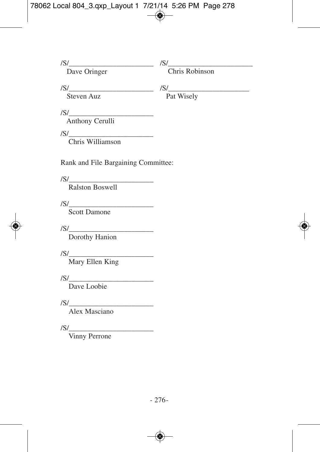/S/\_\_\_\_\_\_\_\_\_\_\_\_\_\_\_\_\_\_\_\_\_\_\_

Dave Oringer

S/\_\_\_\_\_\_\_\_\_\_\_\_\_\_\_\_\_\_\_\_\_\_\_ /

Chris Robinson

Steven Auz

/S/\_\_\_\_\_\_\_\_\_\_\_\_\_\_\_\_\_\_\_\_\_\_ /S/\_\_\_\_\_\_\_\_\_\_\_\_\_\_\_\_\_\_\_\_\_\_\_ Pat Wisely

/S/\_\_\_\_\_\_\_\_\_\_\_\_\_\_\_\_\_\_\_\_\_\_\_

Anthony Cerulli

 $S/\_$ /

Chris Williamson William

Rank and File Bargaining Committee:

/S/\_\_\_\_\_\_\_\_\_\_\_\_\_\_\_\_\_\_\_\_\_\_\_

Ralston Boswell

 $\frac{|S|}{|S|}$ 

Scott Damone

/S/\_\_\_\_\_\_\_\_\_\_\_\_\_\_\_\_\_\_\_\_\_\_\_

Dorothy Hanion

Mary Ellen King  $/S/\_$ 

 $\sqrt{S}/\sqrt{S}$ 

Dave Loobie

/S/\_\_\_\_\_\_\_\_\_\_\_\_\_\_\_\_\_\_\_\_\_\_\_

Alex Masciano

 $\frac{1}{\sqrt{S}}$ 

Vinny Perrone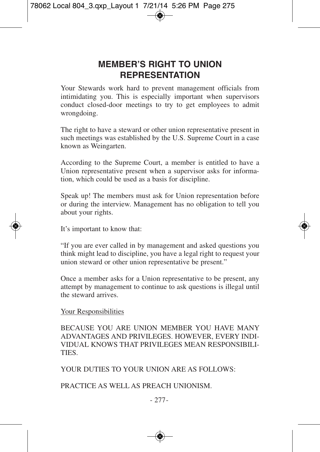## **MEMBER'S RIGHT TO UNION REPRESENTATION**

Your Stewards work hard to prevent management officials from intimidating you. This is especially important when supervisors conduct closed-door meetings to try to get employees to admit wrongdoing.

The right to have a steward or other union representative present in such meetings was established by the U.S. Supreme Court in a case known as Weingarten.

According to the Supreme Court, a member is entitled to have a Union representative present when a supervisor asks for information, which could be used as a basis for discipline.

Speak up! The members must ask for Union representation before or during the interview. Management has no obligation to tell you about your rights.

It's important to know that:

"If you are ever called in by management and asked questions you think might lead to discipline, you have a legal right to request your union steward or other union representative be present."

Once a member asks for a Union representative to be present, any attempt by management to continue to ask questions is illegal until the steward arrives.

#### Your Responsibilities

BECAUSE YOU ARE UNION MEMBER YOU HAVE MANY ADVANTAGES AND PRIVILEGES. HOWEVER, EVERY INDI-VIDUAL KNOWS THAT PRIVILEGES MEAN RESPONSIBILI-TIES.

YOUR DUTIES TO YOUR UNION ARE AS FOLLOWS:

#### PRACTICE AS WELL AS PREACH UNIONISM.